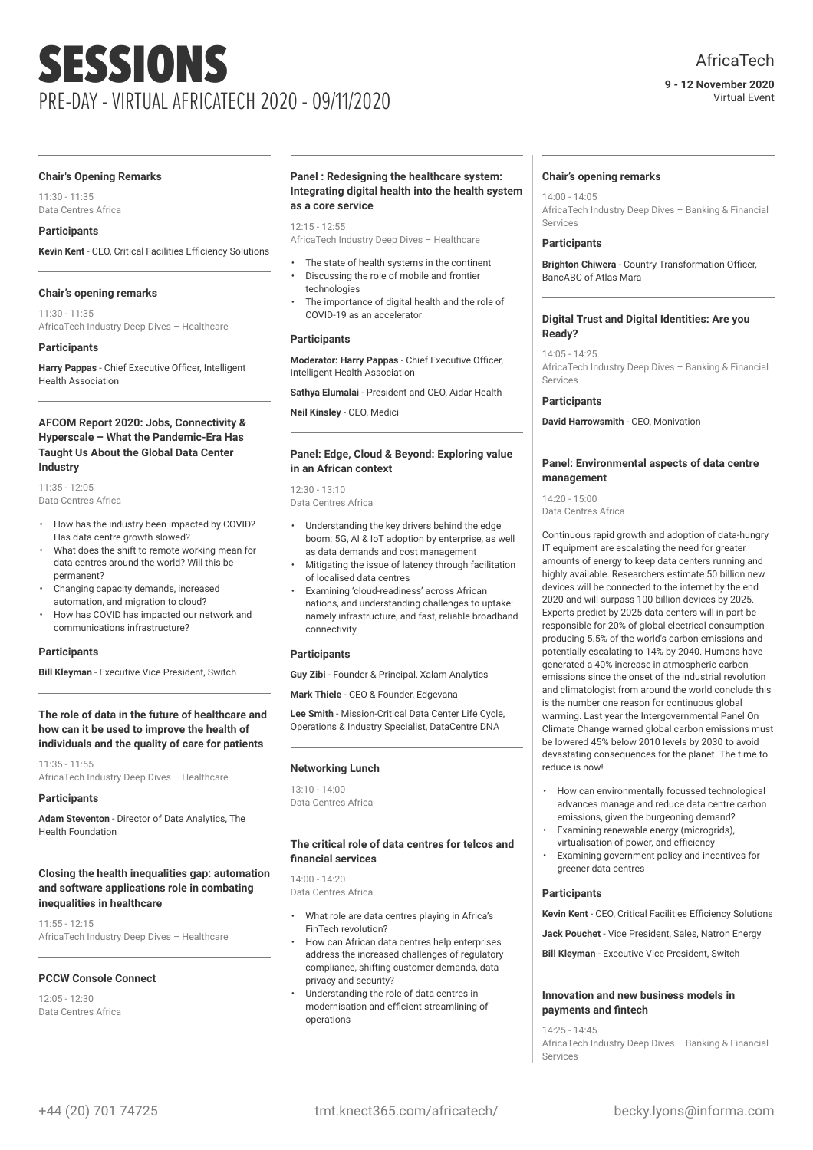# SESSIONS PRE-DAY - VIRTUAL AFRICATECH 2020 - 09/11/2020

#### **9 - 12 November 2020** Virtual Event

#### **Chair's Opening Remarks**

11:30 - 11:35 Data Centres Africa

#### **Participants**

**Kevin Kent** - CEO, Critical Facilities Efficiency Solutions

#### **Chair's opening remarks**

11:30 - 11:35 AfricaTech Industry Deep Dives – Healthcare

#### **Participants**

**Harry Pappas** - Chief Executive Officer, Intelligent Health Association

#### **AFCOM Report 2020: Jobs, Connectivity & Hyperscale – What the Pandemic-Era Has Taught Us About the Global Data Center Industry**

11:35 - 12:05 Data Centres Africa

- How has the industry been impacted by COVID? Has data centre growth slowed?
- What does the shift to remote working mean for data centres around the world? Will this be permanent?
- Changing capacity demands, increased automation, and migration to cloud?
- How has COVID has impacted our network and communications infrastructure?

#### **Participants**

**Bill Kleyman** - Executive Vice President, Switch

#### **The role of data in the future of healthcare and how can it be used to improve the health of individuals and the quality of care for patients**

11:35 - 11:55 AfricaTech Industry Deep Dives – Healthcare

#### **Participants**

**Adam Steventon** - Director of Data Analytics, The Health Foundation

#### **Closing the health inequalities gap: automation and software applications role in combating inequalities in healthcare**

11:55 - 12:15 AfricaTech Industry Deep Dives – Healthcare

#### **PCCW Console Connect**

 $12.05 - 12.30$ Data Centres Africa

#### **Panel : Redesigning the healthcare system: Integrating digital health into the health system as a core service**

 $12.15 - 12.55$ 

AfricaTech Industry Deep Dives – Healthcare

- The state of health systems in the continent
- Discussing the role of mobile and frontier
- technologies • The importance of digital health and the role of COVID-19 as an accelerator

#### **Participants**

**Moderator: Harry Pappas** - Chief Executive Officer, Intelligent Health Association

**Sathya Elumalai** - President and CEO, Aidar Health

**Neil Kinsley** - CEO, Medici

#### **Panel: Edge, Cloud & Beyond: Exploring value in an African context**

12:30 - 13:10 Data Centres Africa

- Understanding the key drivers behind the edge boom: 5G, AI & IoT adoption by enterprise, as well as data demands and cost management
- Mitigating the issue of latency through facilitation of localised data centres
- Examining 'cloud-readiness' across African nations, and understanding challenges to uptake: namely infrastructure, and fast, reliable broadband connectivity

#### **Participants**

**Guy Zibi** - Founder & Principal, Xalam Analytics

**Mark Thiele** - CEO & Founder, Edgevana

**Lee Smith** - Mission-Critical Data Center Life Cycle, Operations & Industry Specialist, DataCentre DNA

#### **Networking Lunch**

13:10 - 14:00 Data Centres Africa

#### **The critical role of data centres for telcos and financial services**

 $14:00 - 14:20$ Data Centres Africa

- What role are data centres playing in Africa's FinTech revolution?
- How can African data centres help enterprises address the increased challenges of regulatory compliance, shifting customer demands, data privacy and security?
- Understanding the role of data centres in modernisation and efficient streamlining of operations

#### **Chair's opening remarks**

14:00 - 14:05 AfricaTech Industry Deep Dives – Banking & Financial Services

#### **Participants**

**Brighton Chiwera** - Country Transformation Officer, BancABC of Atlas Mara

#### **Digital Trust and Digital Identities: Are you Ready?**

14:05 - 14:25 AfricaTech Industry Deep Dives – Banking & Financial Services

#### **Participants**

**David Harrowsmith** - CEO, Monivation

#### **Panel: Environmental aspects of data centre management**

14:20 - 15:00

Data Centres Africa

Continuous rapid growth and adoption of data-hungry IT equipment are escalating the need for greater amounts of energy to keep data centers running and highly available. Researchers estimate 50 billion new devices will be connected to the internet by the end 2020 and will surpass 100 billion devices by 2025. Experts predict by 2025 data centers will in part be responsible for 20% of global electrical consumption producing 5.5% of the world's carbon emissions and potentially escalating to 14% by 2040. Humans have generated a 40% increase in atmospheric carbon emissions since the onset of the industrial revolution and climatologist from around the world conclude this is the number one reason for continuous global warming. Last year the Intergovernmental Panel On Climate Change warned global carbon emissions must be lowered 45% below 2010 levels by 2030 to avoid devastating consequences for the planet. The time to reduce is now!

- How can environmentally focussed technological advances manage and reduce data centre carbon emissions, given the burgeoning demand?
- Examining renewable energy (microgrids), virtualisation of power, and efficiency
- Examining government policy and incentives for greener data centres

#### **Participants**

**Kevin Kent** - CEO, Critical Facilities Efficiency Solutions

**Jack Pouchet** - Vice President, Sales, Natron Energy

**Bill Kleyman** - Executive Vice President, Switch

#### **Innovation and new business models in payments and fintech**

14:25 - 14:45 AfricaTech Industry Deep Dives – Banking & Financial Services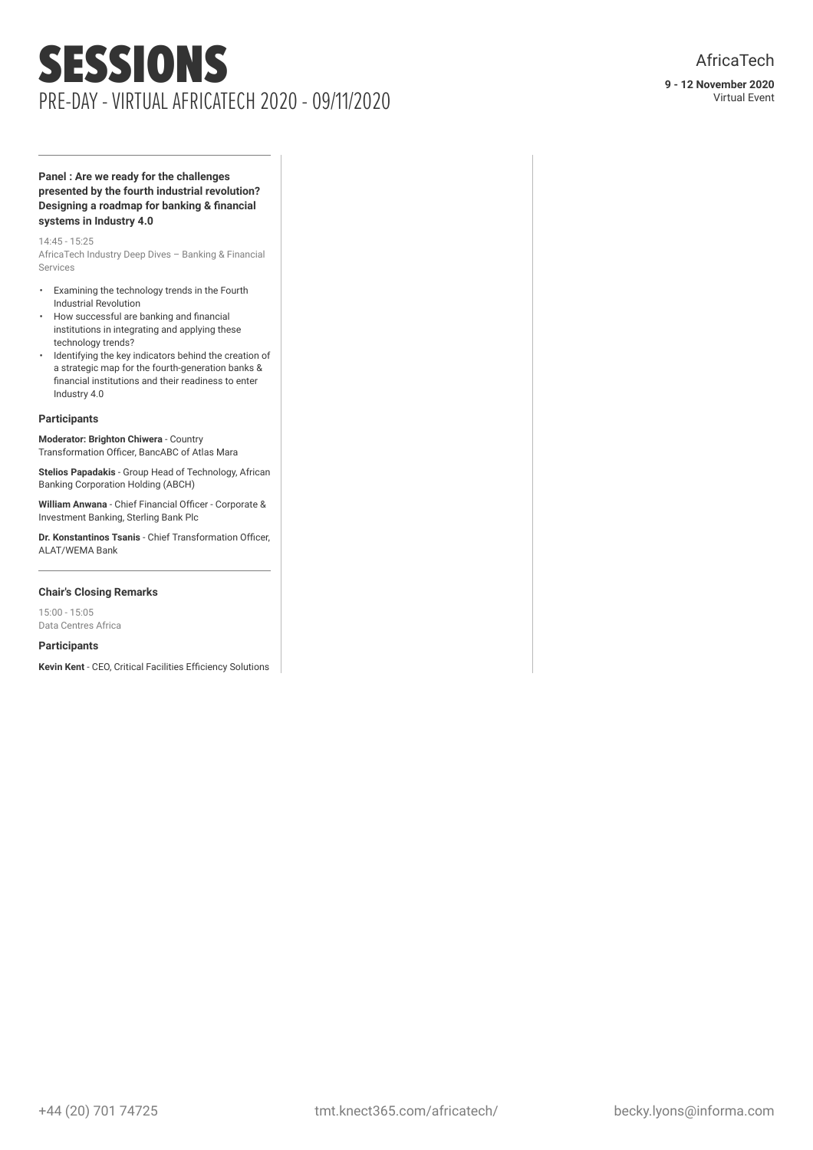### SESSIONS PRE-DAY - VIRTUAL AFRICATECH 2020 - 09/11/2020

#### **Panel : Are we ready for the challenges presented by the fourth industrial revolution? Designing a roadmap for banking & financial systems in Industry 4.0**

14:45 - 15:25

AfricaTech Industry Deep Dives – Banking & Financial Services

- Examining the technology trends in the Fourth Industrial Revolution
- How successful are banking and financial institutions in integrating and applying these technology trends?
- Identifying the key indicators behind the creation of a strategic map for the fourth-generation banks & financial institutions and their readiness to enter Industry 4.0

#### **Participants**

**Moderator: Brighton Chiwera** - Country Transformation Officer, BancABC of Atlas Mara

**Stelios Papadakis** - Group Head of Technology, African Banking Corporation Holding (ABCH)

**William Anwana** - Chief Financial Officer - Corporate & Investment Banking, Sterling Bank Plc

**Dr. Konstantinos Tsanis** - Chief Transformation Officer, ALAT/WEMA Bank

#### **Chair's Closing Remarks**

15:00 - 15:05 Data Centres Africa

#### **Participants**

**Kevin Kent** - CEO, Critical Facilities Efficiency Solutions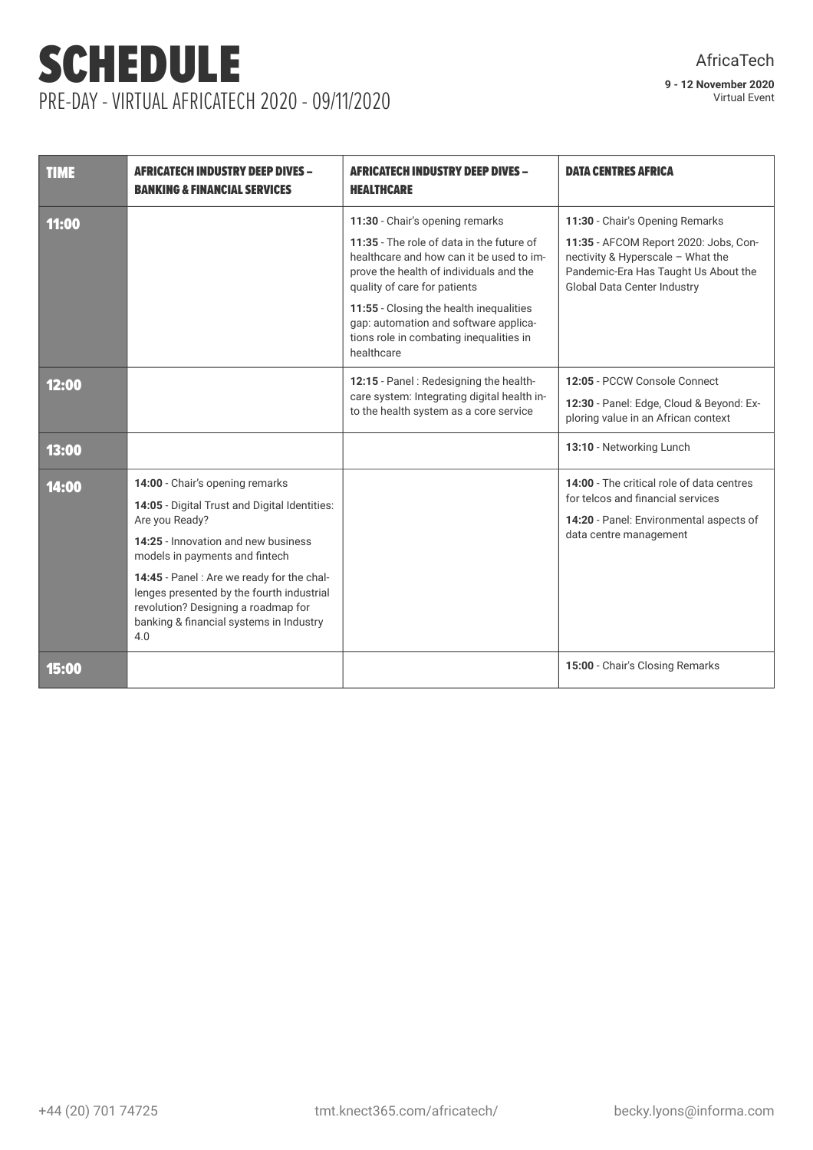# SCHEDULE PRE-DAY - VIRTUAL AFRICATECH 2020 - 09/11/2020

| TIME  | <b>AFRICATECH INDUSTRY DEEP DIVES -</b><br><b>BANKING &amp; FINANCIAL SERVICES</b>                                                                                                                                                                                                                                                                              | <b>AFRICATECH INDUSTRY DEEP DIVES -</b><br><b>HEALTHCARE</b>                                                                                                                                                                                                                                                                                     | <b>DATA CENTRES AFRICA</b>                                                                                                                                                           |
|-------|-----------------------------------------------------------------------------------------------------------------------------------------------------------------------------------------------------------------------------------------------------------------------------------------------------------------------------------------------------------------|--------------------------------------------------------------------------------------------------------------------------------------------------------------------------------------------------------------------------------------------------------------------------------------------------------------------------------------------------|--------------------------------------------------------------------------------------------------------------------------------------------------------------------------------------|
| 11:00 |                                                                                                                                                                                                                                                                                                                                                                 | 11:30 - Chair's opening remarks<br>11:35 - The role of data in the future of<br>healthcare and how can it be used to im-<br>prove the health of individuals and the<br>quality of care for patients<br>11:55 - Closing the health inequalities<br>gap: automation and software applica-<br>tions role in combating inequalities in<br>healthcare | 11:30 - Chair's Opening Remarks<br>11:35 - AFCOM Report 2020: Jobs, Con-<br>nectivity & Hyperscale - What the<br>Pandemic-Era Has Taught Us About the<br>Global Data Center Industry |
| 12:00 |                                                                                                                                                                                                                                                                                                                                                                 | 12:15 - Panel: Redesigning the health-<br>care system: Integrating digital health in-<br>to the health system as a core service                                                                                                                                                                                                                  | 12:05 - PCCW Console Connect<br>12:30 - Panel: Edge, Cloud & Beyond: Ex-<br>ploring value in an African context                                                                      |
| 13:00 |                                                                                                                                                                                                                                                                                                                                                                 |                                                                                                                                                                                                                                                                                                                                                  | 13:10 - Networking Lunch                                                                                                                                                             |
| 14:00 | 14:00 - Chair's opening remarks<br>14:05 - Digital Trust and Digital Identities:<br>Are you Ready?<br>14:25 - Innovation and new business<br>models in payments and fintech<br>14:45 - Panel : Are we ready for the chal-<br>lenges presented by the fourth industrial<br>revolution? Designing a roadmap for<br>banking & financial systems in Industry<br>4.0 |                                                                                                                                                                                                                                                                                                                                                  | 14:00 - The critical role of data centres<br>for telcos and financial services<br>14:20 - Panel: Environmental aspects of<br>data centre management                                  |
| 15:00 |                                                                                                                                                                                                                                                                                                                                                                 |                                                                                                                                                                                                                                                                                                                                                  | 15:00 - Chair's Closing Remarks                                                                                                                                                      |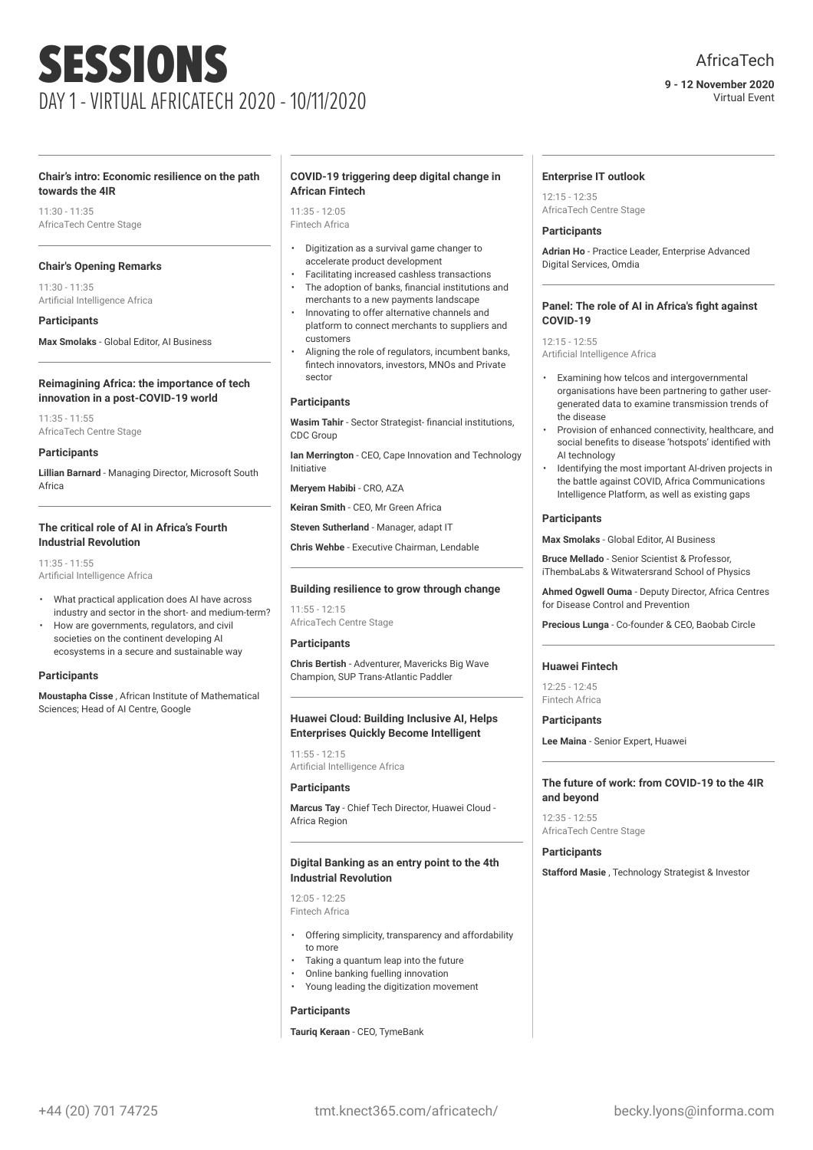#### **9 - 12 November 2020** Virtual Event

#### **Chair's intro: Economic resilience on the path towards the 4IR**

 $11:30 - 11:35$ AfricaTech Centre Stage

#### **Chair's Opening Remarks**

11:30 - 11:35 Artificial Intelligence Africa

#### **Participants**

**Max Smolaks** - Global Editor, AI Business

#### **Reimagining Africa: the importance of tech innovation in a post-COVID-19 world**

11:35 - 11:55 AfricaTech Centre Stage

#### **Participants**

**Lillian Barnard** - Managing Director, Microsoft South Africa

#### **The critical role of AI in Africa's Fourth Industrial Revolution**

 $11:35 - 11:55$ Artificial Intelligence Africa

- What practical application does AI have across industry and sector in the short- and medium-term?
- How are governments, regulators, and civil societies on the continent developing AI ecosystems in a secure and sustainable way

#### **Participants**

**Moustapha Cisse** , African Institute of Mathematical Sciences; Head of AI Centre, Google

#### **COVID-19 triggering deep digital change in African Fintech**

11:35 - 12:05 Fintech Africa

- Digitization as a survival game changer to accelerate product development
- Facilitating increased cashless transactions The adoption of banks, financial institutions and merchants to a new payments landscape
- Innovating to offer alternative channels and platform to connect merchants to suppliers and customers
- Aligning the role of regulators, incumbent banks, fintech innovators, investors, MNOs and Private sector

#### **Participants**

**Wasim Tahir** - Sector Strategist- financial institutions, CDC Group

**Ian Merrington** - CEO, Cape Innovation and Technology Initiative

**Meryem Habibi** - CRO, AZA

**Keiran Smith** - CEO, Mr Green Africa

**Steven Sutherland** - Manager, adapt IT

**Chris Wehbe** - Executive Chairman, Lendable

#### **Building resilience to grow through change**

 $11:55 - 12:15$ AfricaTech Centre Stage

#### **Participants**

**Chris Bertish** - Adventurer, Mavericks Big Wave Champion, SUP Trans-Atlantic Paddler

#### **Huawei Cloud: Building Inclusive AI, Helps Enterprises Quickly Become Intelligent**

11:55 - 12:15 Artificial Intelligence Africa

#### **Participants**

**Marcus Tay** - Chief Tech Director, Huawei Cloud - Africa Region

#### **Digital Banking as an entry point to the 4th Industrial Revolution**

12:05 - 12:25 Fintech Africa

- Offering simplicity, transparency and affordability to more
- Taking a quantum leap into the future
- Online banking fuelling innovation
- Young leading the digitization movement

#### **Participants**

**Tauriq Keraan** - CEO, TymeBank

#### **Enterprise IT outlook**

12:15 - 12:35 AfricaTech Centre Stage

#### **Participants**

**Adrian Ho** - Practice Leader, Enterprise Advanced Digital Services, Omdia

#### **Panel: The role of AI in Africa's fight against COVID-19**

 $12.15 - 12.55$ Artificial Intelligence Africa

- Examining how telcos and intergovernmental organisations have been partnering to gather usergenerated data to examine transmission trends of the disease
- Provision of enhanced connectivity, healthcare, and social benefits to disease 'hotspots' identified with AI technology
- Identifying the most important AI-driven projects in the battle against COVID, Africa Communications Intelligence Platform, as well as existing gaps

#### **Participants**

**Max Smolaks** - Global Editor, AI Business

**Bruce Mellado** - Senior Scientist & Professor, iThembaLabs & Witwatersrand School of Physics

**Ahmed Ogwell Ouma** - Deputy Director, Africa Centres for Disease Control and Prevention

**Precious Lunga** - Co-founder & CEO, Baobab Circle

#### **Huawei Fintech**

12:25 - 12:45 Fintech Africa

#### **Participants**

**Lee Maina** - Senior Expert, Huawei

#### **The future of work: from COVID-19 to the 4IR and beyond**

12:35 - 12:55 AfricaTech Centre Stage

#### **Participants**

**Stafford Masie** , Technology Strategist & Investor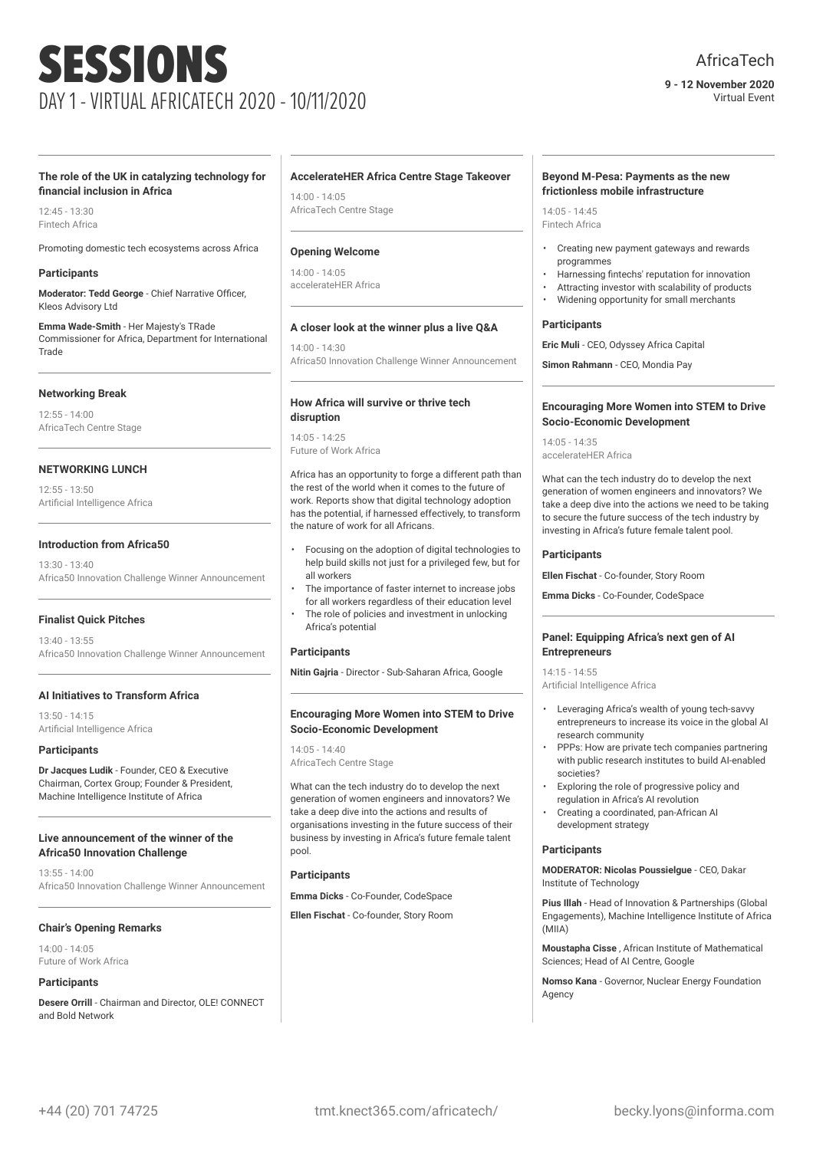#### **9 - 12 November 2020** Virtual Event

#### **The role of the UK in catalyzing technology for financial inclusion in Africa**

 $12.45 - 13.30$ Fintech Africa

Promoting domestic tech ecosystems across Africa

#### **Participants**

**Moderator: Tedd George** - Chief Narrative Officer, Kleos Advisory Ltd

**Emma Wade-Smith** - Her Majesty's TRade Commissioner for Africa, Department for International Trade

#### **Networking Break**

12:55 - 14:00 AfricaTech Centre Stage

#### **NETWORKING LUNCH**

12:55 - 13:50 Artificial Intelligence Africa

#### **Introduction from Africa50**

 $13:30 - 13:40$ Africa50 Innovation Challenge Winner Announcement

#### **Finalist Quick Pitches**

13:40 - 13:55 Africa50 Innovation Challenge Winner Announcement

#### **AI Initiatives to Transform Africa**

13:50 - 14:15 Artificial Intelligence Africa

#### **Participants**

**Dr Jacques Ludik** - Founder, CEO & Executive Chairman, Cortex Group; Founder & President, Machine Intelligence Institute of Africa

#### **Live announcement of the winner of the Africa50 Innovation Challenge**

13:55 - 14:00 Africa50 Innovation Challenge Winner Announcement

#### **Chair's Opening Remarks**

14:00 - 14:05 Future of Work Africa

#### **Participants**

**Desere Orrill** - Chairman and Director, OLE! CONNECT and Bold Network

#### **AccelerateHER Africa Centre Stage Takeover**

14:00 - 14:05 AfricaTech Centre Stage

#### **Opening Welcome**

14:00 - 14:05 accelerateHER Africa

#### **A closer look at the winner plus a live Q&A**

14:00 - 14:30 Africa50 Innovation Challenge Winner Announcement

#### **How Africa will survive or thrive tech disruption**

14:05 - 14:25 Future of Work Africa

Africa has an opportunity to forge a different path than the rest of the world when it comes to the future of work. Reports show that digital technology adoption has the potential, if harnessed effectively, to transform the nature of work for all Africans.

- Focusing on the adoption of digital technologies to help build skills not just for a privileged few, but for all workers
- The importance of faster internet to increase jobs for all workers regardless of their education level
- The role of policies and investment in unlocking Africa's potential

#### **Participants**

**Nitin Gajria** - Director - Sub-Saharan Africa, Google

#### **Encouraging More Women into STEM to Drive Socio-Economic Development**

14:05 - 14:40 AfricaTech Centre Stage

What can the tech industry do to develop the next generation of women engineers and innovators? We take a deep dive into the actions and results of organisations investing in the future success of their business by investing in Africa's future female talent pool.

#### **Participants**

**Emma Dicks** - Co-Founder, CodeSpace

**Ellen Fischat** - Co-founder, Story Room

#### **Beyond M-Pesa: Payments as the new frictionless mobile infrastructure**

14:05 - 14:45 Fintech Africa

- Creating new payment gateways and rewards programmes
- Harnessing fintechs' reputation for innovation
- Attracting investor with scalability of products
- Widening opportunity for small merchants

#### **Participants**

**Eric Muli** - CEO, Odyssey Africa Capital

**Simon Rahmann** - CEO, Mondia Pay

#### **Encouraging More Women into STEM to Drive Socio-Economic Development**

14:05 - 14:35 accelerateHER Africa

What can the tech industry do to develop the next generation of women engineers and innovators? We take a deep dive into the actions we need to be taking to secure the future success of the tech industry by investing in Africa's future female talent pool.

#### **Participants**

**Ellen Fischat** - Co-founder, Story Room

**Emma Dicks** - Co-Founder, CodeSpace

#### **Panel: Equipping Africa's next gen of AI Entrepreneurs**

14:15 - 14:55

Artificial Intelligence Africa

- Leveraging Africa's wealth of young tech-savvy entrepreneurs to increase its voice in the global AI research community
- PPPs: How are private tech companies partnering with public research institutes to build AI-enabled societies?
- Exploring the role of progressive policy and regulation in Africa's AI revolution
- Creating a coordinated, pan-African AI development strategy

#### **Participants**

**MODERATOR: Nicolas Poussielgue** - CEO, Dakar Institute of Technology

**Pius Illah** - Head of Innovation & Partnerships (Global Engagements), Machine Intelligence Institute of Africa (MIIA)

**Moustapha Cisse** , African Institute of Mathematical Sciences; Head of AI Centre, Google

**Nomso Kana** - Governor, Nuclear Energy Foundation Agency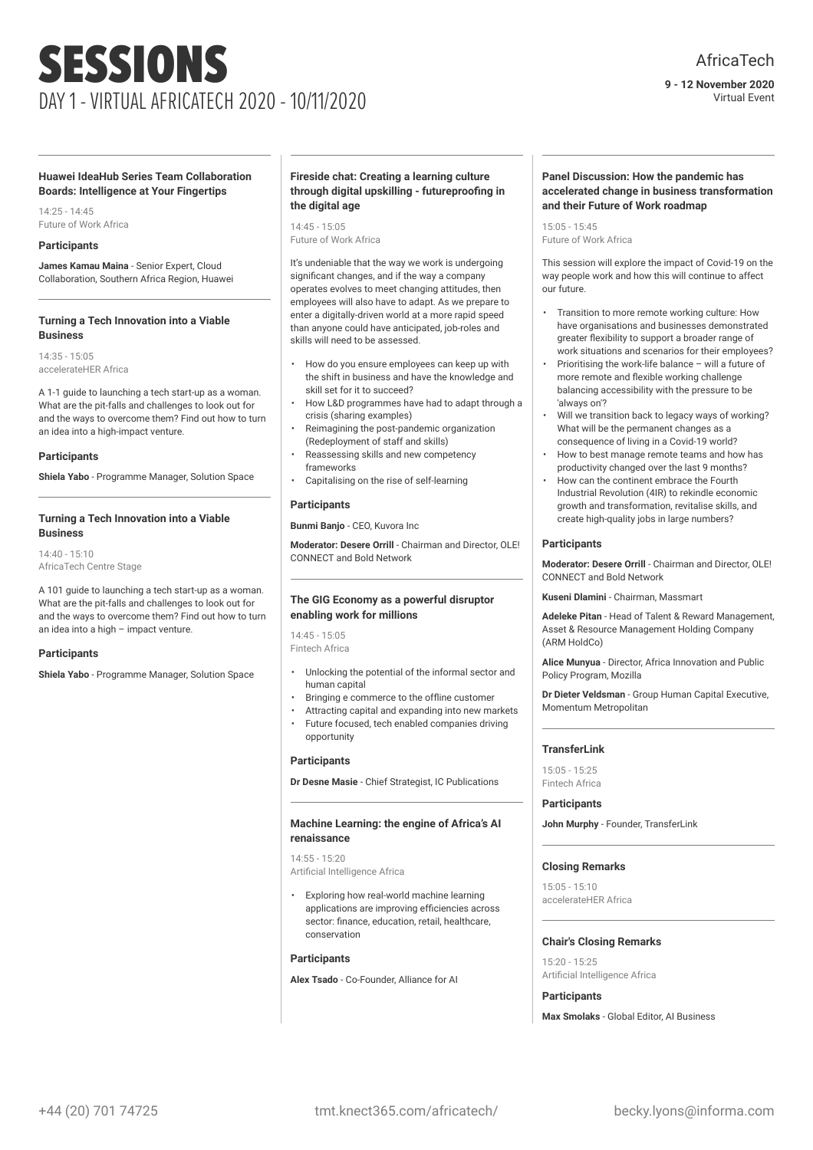### AfricaTech

#### **9 - 12 November 2020** Virtual Event

#### **Huawei IdeaHub Series Team Collaboration Boards: Intelligence at Your Fingertips**

14:25 - 14:45 Future of Work Africa

#### **Participants**

**James Kamau Maina** - Senior Expert, Cloud Collaboration, Southern Africa Region, Huawei

#### **Turning a Tech Innovation into a Viable Business**

14:35 - 15:05 accelerateHER Africa

A 1-1 guide to launching a tech start-up as a woman. What are the pit-falls and challenges to look out for and the ways to overcome them? Find out how to turn an idea into a high-impact venture.

#### **Participants**

**Shiela Yabo** - Programme Manager, Solution Space

#### **Turning a Tech Innovation into a Viable Business**

14:40 - 15:10 AfricaTech Centre Stage

A 101 guide to launching a tech start-up as a woman. What are the pit-falls and challenges to look out for and the ways to overcome them? Find out how to turn an idea into a high – impact venture.

#### **Participants**

**Shiela Yabo** - Programme Manager, Solution Space

#### **Fireside chat: Creating a learning culture through digital upskilling - futureproofing in the digital age**

14:45 - 15:05 Future of Work Africa

It's undeniable that the way we work is undergoing significant changes, and if the way a company operates evolves to meet changing attitudes, then employees will also have to adapt. As we prepare to enter a digitally-driven world at a more rapid speed than anyone could have anticipated, job-roles and skills will need to be assessed.

- How do you ensure employees can keep up with the shift in business and have the knowledge and skill set for it to succeed?
- How L&D programmes have had to adapt through a crisis (sharing examples)
- Reimagining the post-pandemic organization (Redeployment of staff and skills)
- Reassessing skills and new competency frameworks
- Capitalising on the rise of self-learning

#### **Participants**

**Bunmi Banjo** - CEO, Kuvora Inc

**Moderator: Desere Orrill** - Chairman and Director, OLE! CONNECT and Bold Network

#### **The GIG Economy as a powerful disruptor enabling work for millions**

14:45 - 15:05 Fintech Africa

- Unlocking the potential of the informal sector and human capital
- Bringing e commerce to the offline customer
- Attracting capital and expanding into new markets
- Future focused, tech enabled companies driving opportunity

#### **Participants**

**Dr Desne Masie** - Chief Strategist, IC Publications

#### **Machine Learning: the engine of Africa's AI renaissance**

14:55 - 15:20

Artificial Intelligence Africa

• Exploring how real-world machine learning applications are improving efficiencies across sector: finance, education, retail, healthcare, conservation

#### **Participants**

**Alex Tsado** - Co-Founder, Alliance for AI

#### **Panel Discussion: How the pandemic has accelerated change in business transformation and their Future of Work roadmap**

15:05 - 15:45 Future of Work Africa

This session will explore the impact of Covid-19 on the way people work and how this will continue to affect our future.

- Transition to more remote working culture: How have organisations and businesses demonstrated greater flexibility to support a broader range of work situations and scenarios for their employees?
- Prioritising the work-life balance will a future of more remote and flexible working challenge balancing accessibility with the pressure to be 'always on'?
- Will we transition back to legacy ways of working? What will be the permanent changes as a consequence of living in a Covid-19 world?
- How to best manage remote teams and how has productivity changed over the last 9 months?
- How can the continent embrace the Fourth Industrial Revolution (4IR) to rekindle economic growth and transformation, revitalise skills, and create high-quality jobs in large numbers?

#### **Participants**

**Moderator: Desere Orrill** - Chairman and Director, OLE! CONNECT and Bold Network

**Kuseni Dlamini** - Chairman, Massmart

**Adeleke Pitan** - Head of Talent & Reward Management, Asset & Resource Management Holding Company (ARM HoldCo)

**Alice Munyua** - Director, Africa Innovation and Public Policy Program, Mozilla

**Dr Dieter Veldsman** - Group Human Capital Executive, Momentum Metropolitan

#### **TransferLink**

15:05 - 15:25 Fintech Africa

#### **Participants**

**John Murphy** - Founder, TransferLink

#### **Closing Remarks**

15:05 - 15:10 accelerateHER Africa

#### **Chair's Closing Remarks**

15:20 - 15:25 Artificial Intelligence Africa

#### **Participants**

**Max Smolaks** - Global Editor, AI Business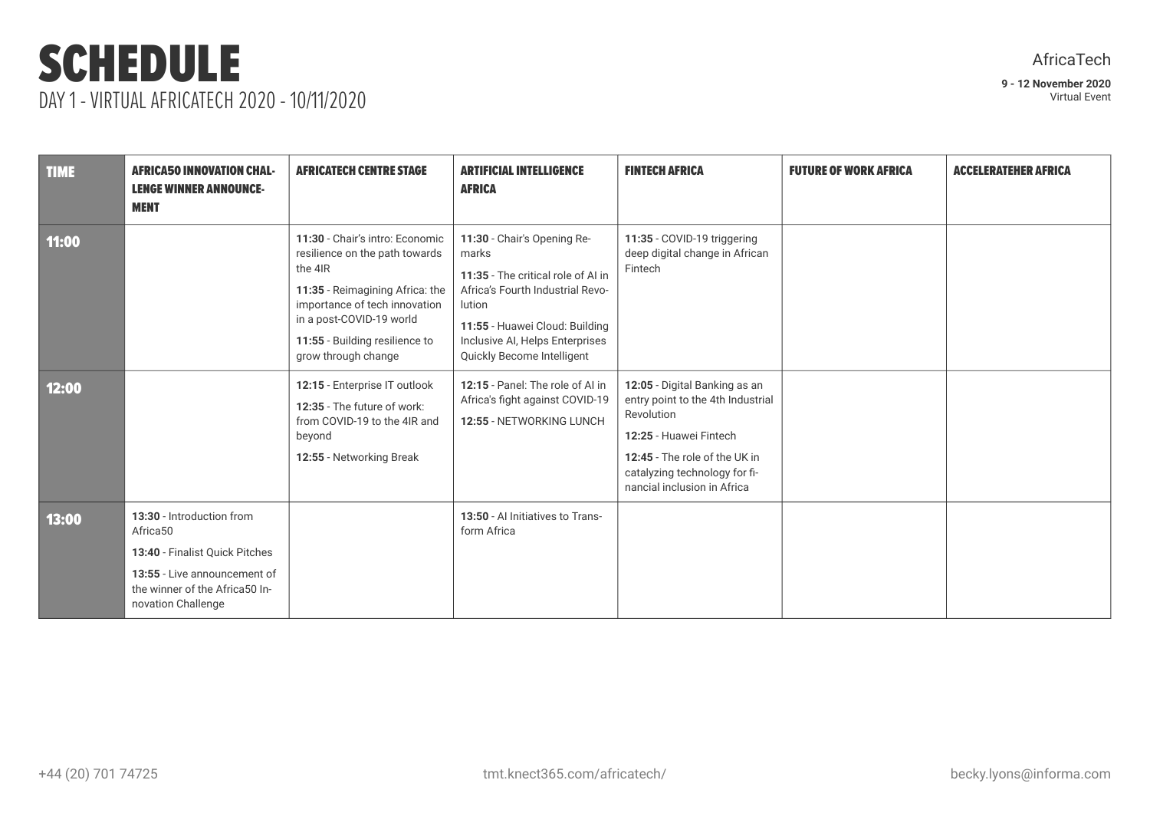### SCHEDULE DAY 1 - VIRTUAL AFRICATECH 2020 - 10/11/2020

| <b>TIME</b> | <b>AFRICA50 INNOVATION CHAL-</b><br><b>LENGE WINNER ANNOUNCE-</b><br><b>MENT</b>                                                                                | <b>AFRICATECH CENTRE STAGE</b>                                                                                                                                                                                                        | <b>ARTIFICIAL INTELLIGENCE</b><br><b>AFRICA</b>                                                                                                                                                                             | <b>FINTECH AFRICA</b>                                                                                                                                                                                       | <b>FUTURE OF WORK AFRICA</b> | <b>ACCELERATEHER AFRICA</b> |
|-------------|-----------------------------------------------------------------------------------------------------------------------------------------------------------------|---------------------------------------------------------------------------------------------------------------------------------------------------------------------------------------------------------------------------------------|-----------------------------------------------------------------------------------------------------------------------------------------------------------------------------------------------------------------------------|-------------------------------------------------------------------------------------------------------------------------------------------------------------------------------------------------------------|------------------------------|-----------------------------|
| 11:00       |                                                                                                                                                                 | 11:30 - Chair's intro: Economic<br>resilience on the path towards<br>the 4IR<br>11:35 - Reimagining Africa: the<br>importance of tech innovation<br>in a post-COVID-19 world<br>11:55 - Building resilience to<br>grow through change | 11:30 - Chair's Opening Re-<br>marks<br>11:35 - The critical role of AI in<br>Africa's Fourth Industrial Revo-<br>lution<br>11:55 - Huawei Cloud: Building<br>Inclusive AI, Helps Enterprises<br>Quickly Become Intelligent | 11:35 - COVID-19 triggering<br>deep digital change in African<br>Fintech                                                                                                                                    |                              |                             |
| 12:00       |                                                                                                                                                                 | 12:15 - Enterprise IT outlook<br>12:35 - The future of work:<br>from COVID-19 to the 4IR and<br>beyond<br>12:55 - Networking Break                                                                                                    | 12:15 - Panel: The role of AI in<br>Africa's fight against COVID-19<br>12:55 - NETWORKING LUNCH                                                                                                                             | 12:05 - Digital Banking as an<br>entry point to the 4th Industrial<br>Revolution<br>12:25 - Huawei Fintech<br>12:45 - The role of the UK in<br>catalyzing technology for fi-<br>nancial inclusion in Africa |                              |                             |
| 13:00       | 13:30 - Introduction from<br>Africa50<br>13:40 - Finalist Quick Pitches<br>13:55 - Live announcement of<br>the winner of the Africa50 In-<br>novation Challenge |                                                                                                                                                                                                                                       | 13:50 - Al Initiatives to Trans-<br>form Africa                                                                                                                                                                             |                                                                                                                                                                                                             |                              |                             |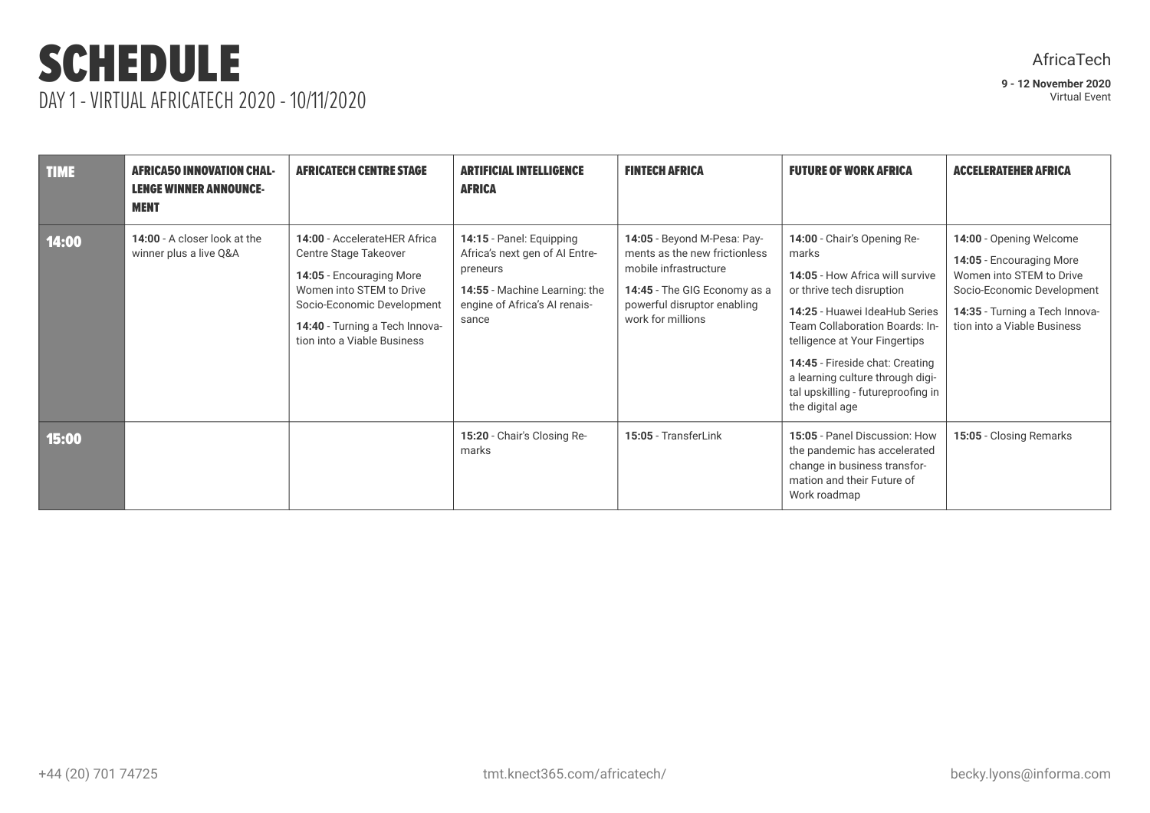### SCHEDULE DAY 1 - VIRTUAL AFRICATECH 2020 - 10/11/2020

| <b>TIME</b> | <b>AFRICA50 INNOVATION CHAL-</b><br><b>LENGE WINNER ANNOUNCE-</b><br><b>MENT</b> | <b>AFRICATECH CENTRE STAGE</b>                                                                                                                                                                               | <b>ARTIFICIAL INTELLIGENCE</b><br><b>AFRICA</b>                                                                                                   | <b>FINTECH AFRICA</b>                                                                                                                                                     | <b>FUTURE OF WORK AFRICA</b>                                                                                                                                                                                                                                                                                                             | <b>ACCELERATEHER AFRICA</b>                                                                                                                                                    |
|-------------|----------------------------------------------------------------------------------|--------------------------------------------------------------------------------------------------------------------------------------------------------------------------------------------------------------|---------------------------------------------------------------------------------------------------------------------------------------------------|---------------------------------------------------------------------------------------------------------------------------------------------------------------------------|------------------------------------------------------------------------------------------------------------------------------------------------------------------------------------------------------------------------------------------------------------------------------------------------------------------------------------------|--------------------------------------------------------------------------------------------------------------------------------------------------------------------------------|
| 14:00       | 14:00 - A closer look at the<br>winner plus a live Q&A                           | 14:00 - AccelerateHER Africa<br>Centre Stage Takeover<br>14:05 - Encouraging More<br>Women into STEM to Drive<br>Socio-Economic Development<br>14:40 - Turning a Tech Innova-<br>tion into a Viable Business | 14:15 - Panel: Equipping<br>Africa's next gen of AI Entre-<br>preneurs<br>14:55 - Machine Learning: the<br>engine of Africa's Al renais-<br>sance | 14:05 - Beyond M-Pesa: Pay-<br>ments as the new frictionless<br>mobile infrastructure<br>14:45 - The GIG Economy as a<br>powerful disruptor enabling<br>work for millions | 14:00 - Chair's Opening Re-<br>marks<br>14:05 - How Africa will survive<br>or thrive tech disruption<br>14:25 - Huawei IdeaHub Series<br>Team Collaboration Boards: In-<br>telligence at Your Fingertips<br>14:45 - Fireside chat: Creating<br>a learning culture through digi-<br>tal upskilling - futureproofing in<br>the digital age | 14:00 - Opening Welcome<br>14:05 - Encouraging More<br>Women into STEM to Drive<br>Socio-Economic Development<br>14:35 - Turning a Tech Innova-<br>tion into a Viable Business |
| 15:00       |                                                                                  |                                                                                                                                                                                                              | 15:20 - Chair's Closing Re-<br>marks                                                                                                              | 15:05 - TransferLink                                                                                                                                                      | 15:05 - Panel Discussion: How<br>the pandemic has accelerated<br>change in business transfor-<br>mation and their Future of<br>Work roadmap                                                                                                                                                                                              | 15:05 - Closing Remarks                                                                                                                                                        |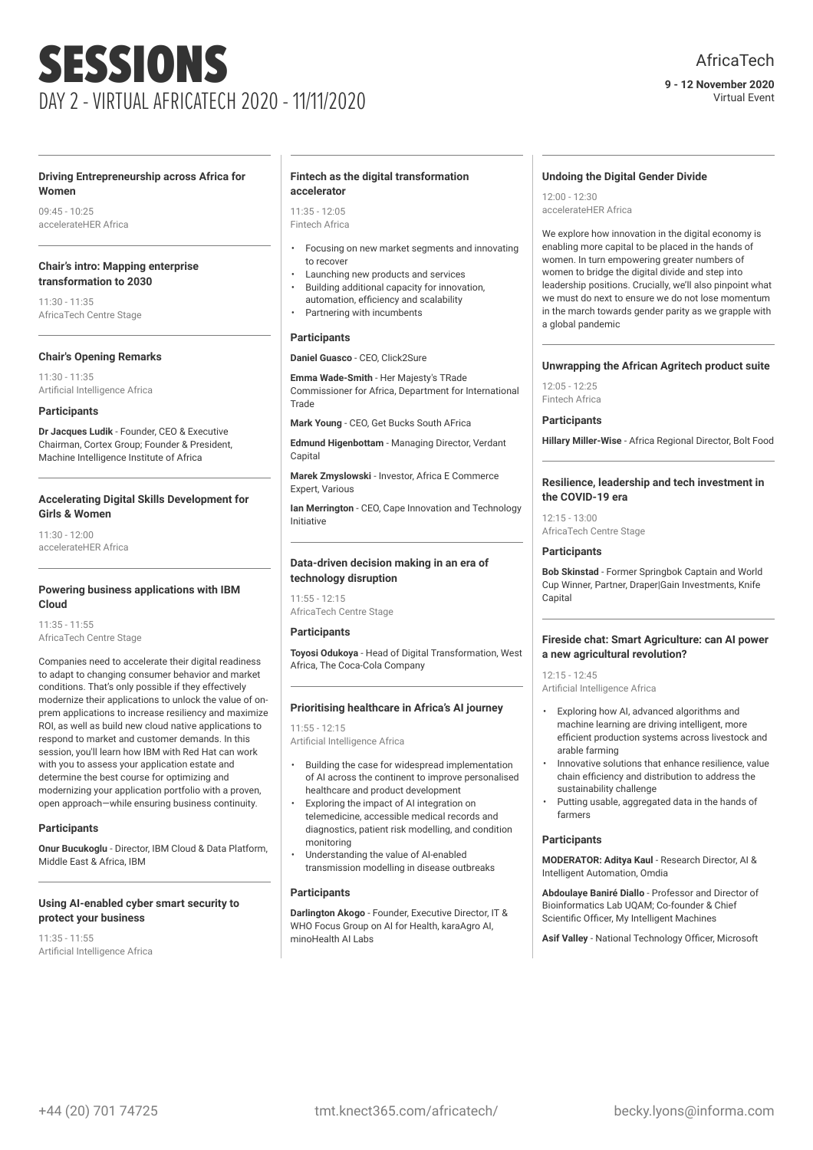#### **9 - 12 November 2020** Virtual Event

#### **Driving Entrepreneurship across Africa for Women**

09:45 - 10:25 accelerateHER Africa

#### **Chair's intro: Mapping enterprise transformation to 2030**

 $11:30 - 11:35$ AfricaTech Centre Stage

#### **Chair's Opening Remarks**

11:30 - 11:35 Artificial Intelligence Africa

#### **Participants**

**Dr Jacques Ludik** - Founder, CEO & Executive Chairman, Cortex Group; Founder & President, Machine Intelligence Institute of Africa

#### **Accelerating Digital Skills Development for Girls & Women**

11:30 - 12:00 accelerateHER Africa

#### **Powering business applications with IBM Cloud**

11:35 - 11:55 AfricaTech Centre Stage

Companies need to accelerate their digital readiness to adapt to changing consumer behavior and market conditions. That's only possible if they effectively modernize their applications to unlock the value of onprem applications to increase resiliency and maximize ROI, as well as build new cloud native applications to respond to market and customer demands. In this session, you'll learn how IBM with Red Hat can work with you to assess your application estate and determine the best course for optimizing and modernizing your application portfolio with a proven, open approach—while ensuring business continuity.

#### **Participants**

**Onur Bucukoglu** - Director, IBM Cloud & Data Platform, Middle East & Africa, IBM

#### **Using AI-enabled cyber smart security to protect your business**

11:35 - 11:55 Artificial Intelligence Africa

#### **Fintech as the digital transformation accelerator**

11:35 - 12:05 Fintech Africa

- Focusing on new market segments and innovating to recover
- Launching new products and services
- Building additional capacity for innovation, automation, efficiency and scalability Partnering with incumbents

#### **Participants**

**Daniel Guasco** - CEO, Click2Sure

**Emma Wade-Smith** - Her Majesty's TRade Commissioner for Africa, Department for International **Trade** 

**Mark Young** - CEO, Get Bucks South AFrica

**Edmund Higenbottam** - Managing Director, Verdant Capital

**Marek Zmyslowski** - Investor, Africa E Commerce Expert, Various

**Ian Merrington** - CEO, Cape Innovation and Technology Initiative

#### **Data-driven decision making in an era of technology disruption**

11:55 - 12:15 AfricaTech Centre Stage

#### **Participants**

**Toyosi Odukoya** - Head of Digital Transformation, West Africa, The Coca-Cola Company

#### **Prioritising healthcare in Africa's AI journey**

11:55 - 12:15 Artificial Intelligence Africa

- Building the case for widespread implementation of AI across the continent to improve personalised healthcare and product development
- Exploring the impact of AI integration on telemedicine, accessible medical records and diagnostics, patient risk modelling, and condition monitoring
- Understanding the value of AI-enabled transmission modelling in disease outbreaks

#### **Participants**

**Darlington Akogo** - Founder, Executive Director, IT & WHO Focus Group on AI for Health, karaAgro AI, minoHealth ALL ahs

#### **Undoing the Digital Gender Divide**

12:00 - 12:30 accelerateHER Africa

We explore how innovation in the digital economy is enabling more capital to be placed in the hands of women. In turn empowering greater numbers of women to bridge the digital divide and step into leadership positions. Crucially, we'll also pinpoint what we must do next to ensure we do not lose momentum in the march towards gender parity as we grapple with a global pandemic

#### **Unwrapping the African Agritech product suite**

 $12:05 - 12:25$ Fintech Africa

#### **Participants**

**Hillary Miller-Wise** - Africa Regional Director, Bolt Food

#### **Resilience, leadership and tech investment in the COVID-19 era**

12:15 - 13:00 AfricaTech Centre Stage

#### **Participants**

**Bob Skinstad** - Former Springbok Captain and World Cup Winner, Partner, Draper|Gain Investments, Knife **Capital** 

#### **Fireside chat: Smart Agriculture: can AI power a new agricultural revolution?**

12:15 - 12:45 Artificial Intelligence Africa

- Exploring how AI, advanced algorithms and machine learning are driving intelligent, more efficient production systems across livestock and arable farming
- Innovative solutions that enhance resilience, value chain efficiency and distribution to address the sustainability challenge
- Putting usable, aggregated data in the hands of farmers

#### **Participants**

**MODERATOR: Aditya Kaul** - Research Director, AI & Intelligent Automation, Omdia

**Abdoulaye Baniré Diallo** - Professor and Director of Bioinformatics Lab UQAM; Co-founder & Chief Scientific Officer, My Intelligent Machines

**Asif Valley** - National Technology Officer, Microsoft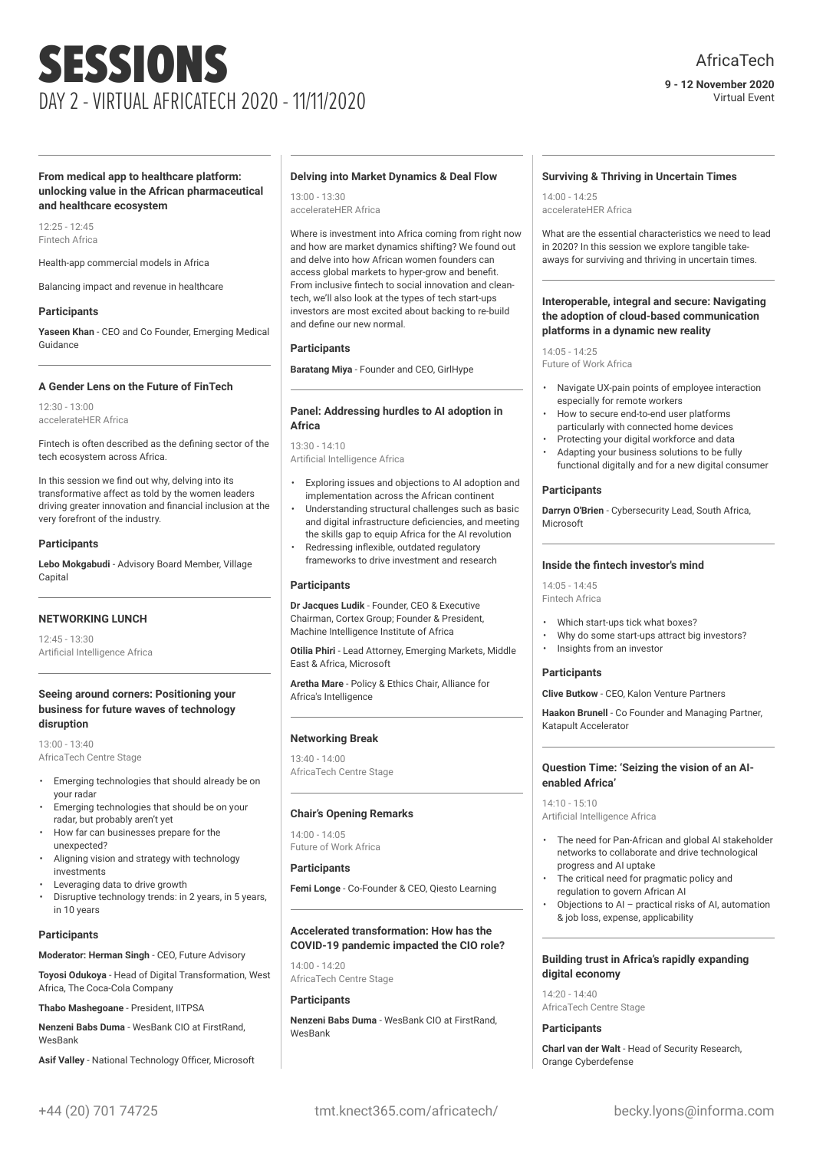#### **9 - 12 November 2020** Virtual Event

#### **From medical app to healthcare platform: unlocking value in the African pharmaceutical and healthcare ecosystem**

12:25 - 12:45 Fintech Africa

Health-app commercial models in Africa

Balancing impact and revenue in healthcare

#### **Participants**

**Yaseen Khan** - CEO and Co Founder, Emerging Medical Guidance

#### **A Gender Lens on the Future of FinTech**

12:30 - 13:00 accelerateHER Africa

Fintech is often described as the defining sector of the tech ecosystem across Africa.

In this session we find out why, delving into its transformative affect as told by the women leaders driving greater innovation and financial inclusion at the very forefront of the industry.

#### **Participants**

**Lebo Mokgabudi** - Advisory Board Member, Village Capital

#### **NETWORKING LUNCH**

12:45 - 13:30 Artificial Intelligence Africa

#### **Seeing around corners: Positioning your business for future waves of technology disruption**

13:00 - 13:40 AfricaTech Centre Stage

- Emerging technologies that should already be on your radar
- Emerging technologies that should be on your radar, but probably aren't yet
- How far can businesses prepare for the unexpected?
- Aligning vision and strategy with technology investments
- Leveraging data to drive growth
- Disruptive technology trends: in 2 years, in 5 years, in 10 years

#### **Participants**

**Moderator: Herman Singh** - CEO, Future Advisory

**Toyosi Odukoya** - Head of Digital Transformation, West Africa, The Coca-Cola Company

**Thabo Mashegoane** - President, IITPSA

**Nenzeni Babs Duma** - WesBank CIO at FirstRand, WesBank

**Asif Valley** - National Technology Officer, Microsoft

#### **Delving into Market Dynamics & Deal Flow**

13:00 - 13:30 accelerateHER Africa

Where is investment into Africa coming from right now and how are market dynamics shifting? We found out and delve into how African women founders can access global markets to hyper-grow and benefit. From inclusive fintech to social innovation and cleantech, we'll also look at the types of tech start-ups investors are most excited about backing to re-build and define our new normal.

#### **Participants**

**Baratang Miya** - Founder and CEO, GirlHype

#### **Panel: Addressing hurdles to AI adoption in Africa**

13:30 - 14:10 Artificial Intelligence Africa

- Exploring issues and objections to AI adoption and implementation across the African continent
- Understanding structural challenges such as basic and digital infrastructure deficiencies, and meeting the skills gap to equip Africa for the AI revolution
- Redressing inflexible, outdated regulatory frameworks to drive investment and research

#### **Participants**

**Dr Jacques Ludik** - Founder, CEO & Executive Chairman, Cortex Group; Founder & President, Machine Intelligence Institute of Africa

**Otilia Phiri** - Lead Attorney, Emerging Markets, Middle East & Africa, Microsoft

**Aretha Mare** - Policy & Ethics Chair, Alliance for Africa's Intelligence

#### **Networking Break**

13:40 - 14:00 AfricaTech Centre Stage

#### **Chair's Opening Remarks**

 $14:00 - 14:05$ Future of Work Africa

#### **Participants**

**Femi Longe** - Co-Founder & CEO, Qiesto Learning

#### **Accelerated transformation: How has the COVID-19 pandemic impacted the CIO role?**

14:00 - 14:20 AfricaTech Centre Stage

#### **Participants**

**Nenzeni Babs Duma** - WesBank CIO at FirstRand, **WesBank** 

#### **Surviving & Thriving in Uncertain Times**

14:00 - 14:25 accelerateHER Africa

What are the essential characteristics we need to lead in 2020? In this session we explore tangible takeaways for surviving and thriving in uncertain times.

#### **Interoperable, integral and secure: Navigating the adoption of cloud-based communication platforms in a dynamic new reality**

14:05 - 14:25 Future of Work Africa

- Navigate UX-pain points of employee interaction especially for remote workers
- How to secure end-to-end user platforms particularly with connected home devices
- Protecting your digital workforce and data • Adapting your business solutions to be fully functional digitally and for a new digital consumer

#### **Participants**

**Darryn O'Brien** - Cybersecurity Lead, South Africa, Microsoft

#### **Inside the fintech investor's mind**

14:05 - 14:45 Fintech Africa

- Which start-ups tick what boxes?
- Why do some start-ups attract big investors?
- Insights from an investor

#### **Participants**

**Clive Butkow** - CEO, Kalon Venture Partners

**Haakon Brunell** - Co Founder and Managing Partner, Katapult Accelerator

#### **Question Time: 'Seizing the vision of an AIenabled Africa'**

14:10 - 15:10 Artificial Intelligence Africa

- The need for Pan-African and global AI stakeholder networks to collaborate and drive technological progress and AI uptake
- The critical need for pragmatic policy and regulation to govern African AI
- Objections to AI practical risks of AI, automation & job loss, expense, applicability

#### **Building trust in Africa's rapidly expanding digital economy**

14:20 - 14:40 AfricaTech Centre Stage

#### **Participants**

**Charl van der Walt** - Head of Security Research, Orange Cyberdefense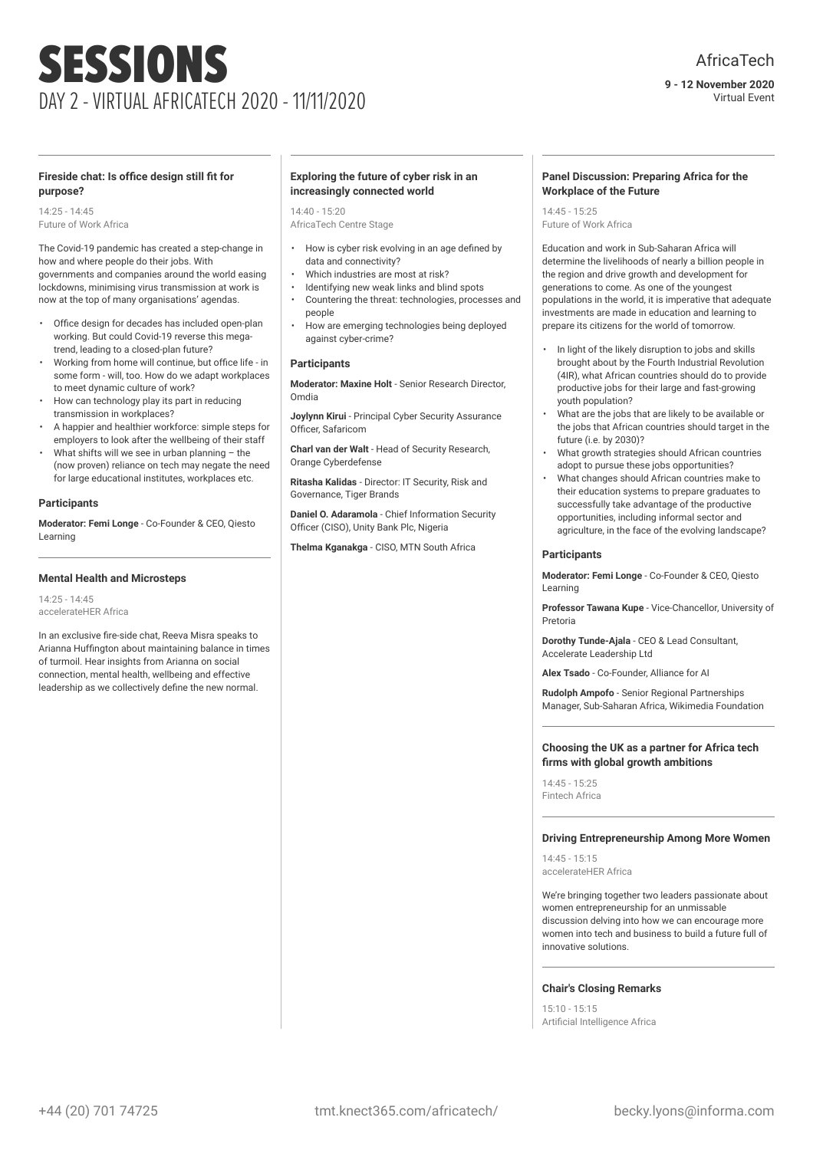Virtual Event

#### **Fireside chat: Is office design still fit for purpose?**

14:25 - 14:45 Future of Work Africa

The Covid-19 pandemic has created a step-change in how and where people do their jobs. With governments and companies around the world easing

lockdowns, minimising virus transmission at work is now at the top of many organisations' agendas.

- Office design for decades has included open-plan working. But could Covid-19 reverse this megatrend, leading to a closed-plan future?
- Working from home will continue, but office life in some form - will, too. How do we adapt workplaces to meet dynamic culture of work?
- How can technology play its part in reducing transmission in workplaces?
- A happier and healthier workforce: simple steps for employers to look after the wellbeing of their staff
- What shifts will we see in urban planning  $-$  the (now proven) reliance on tech may negate the need for large educational institutes, workplaces etc.

#### **Participants**

**Moderator: Femi Longe** - Co-Founder & CEO, Qiesto Learning

#### **Mental Health and Microsteps**

14:25 - 14:45 accelerateHER Africa

In an exclusive fire-side chat, Reeva Misra speaks to Arianna Huffington about maintaining balance in times of turmoil. Hear insights from Arianna on social connection, mental health, wellbeing and effective leadership as we collectively define the new normal.

#### **Exploring the future of cyber risk in an increasingly connected world**

14:40 - 15:20

- AfricaTech Centre Stage
- How is cyber risk evolving in an age defined by data and connectivity?
- Which industries are most at risk?
- Identifying new weak links and blind spots
- Countering the threat: technologies, processes and people
- How are emerging technologies being deployed against cyber-crime?

#### **Participants**

**Moderator: Maxine Holt** - Senior Research Director, Omdia

**Joylynn Kirui** - Principal Cyber Security Assurance Officer, Safaricom

**Charl van der Walt** - Head of Security Research, Orange Cyberdefense

**Ritasha Kalidas** - Director: IT Security, Risk and Governance, Tiger Brands

**Daniel O. Adaramola** - Chief Information Security Officer (CISO), Unity Bank Plc, Nigeria

**Thelma Kganakga** - CISO, MTN South Africa

#### **Panel Discussion: Preparing Africa for the Workplace of the Future**

14:45 - 15:25 Future of Work Africa

Education and work in Sub-Saharan Africa will determine the livelihoods of nearly a billion people in the region and drive growth and development for generations to come. As one of the youngest populations in the world, it is imperative that adequate investments are made in education and learning to prepare its citizens for the world of tomorrow.

- In light of the likely disruption to jobs and skills brought about by the Fourth Industrial Revolution (4IR), what African countries should do to provide productive jobs for their large and fast-growing youth population?
- What are the jobs that are likely to be available or the jobs that African countries should target in the future (i.e. by 2030)?
- What growth strategies should African countries adopt to pursue these jobs opportunities?
- What changes should African countries make to their education systems to prepare graduates to successfully take advantage of the productive opportunities, including informal sector and agriculture, in the face of the evolving landscape?

#### **Participants**

**Moderator: Femi Longe** - Co-Founder & CEO, Qiesto Learning

**Professor Tawana Kupe** - Vice-Chancellor, University of Pretoria

**Dorothy Tunde-Ajala** - CEO & Lead Consultant, Accelerate Leadership Ltd

**Alex Tsado** - Co-Founder, Alliance for AI

**Rudolph Ampofo** - Senior Regional Partnerships Manager, Sub-Saharan Africa, Wikimedia Foundation

#### **Choosing the UK as a partner for Africa tech firms with global growth ambitions**

14:45 - 15:25 Fintech Africa

#### **Driving Entrepreneurship Among More Women**

14:45 - 15:15 accelerateHER Africa

We're bringing together two leaders passionate about women entrepreneurship for an unmissable discussion delving into how we can encourage more women into tech and business to build a future full of innovative solutions.

#### **Chair's Closing Remarks**

15:10 - 15:15 Artificial Intelligence Africa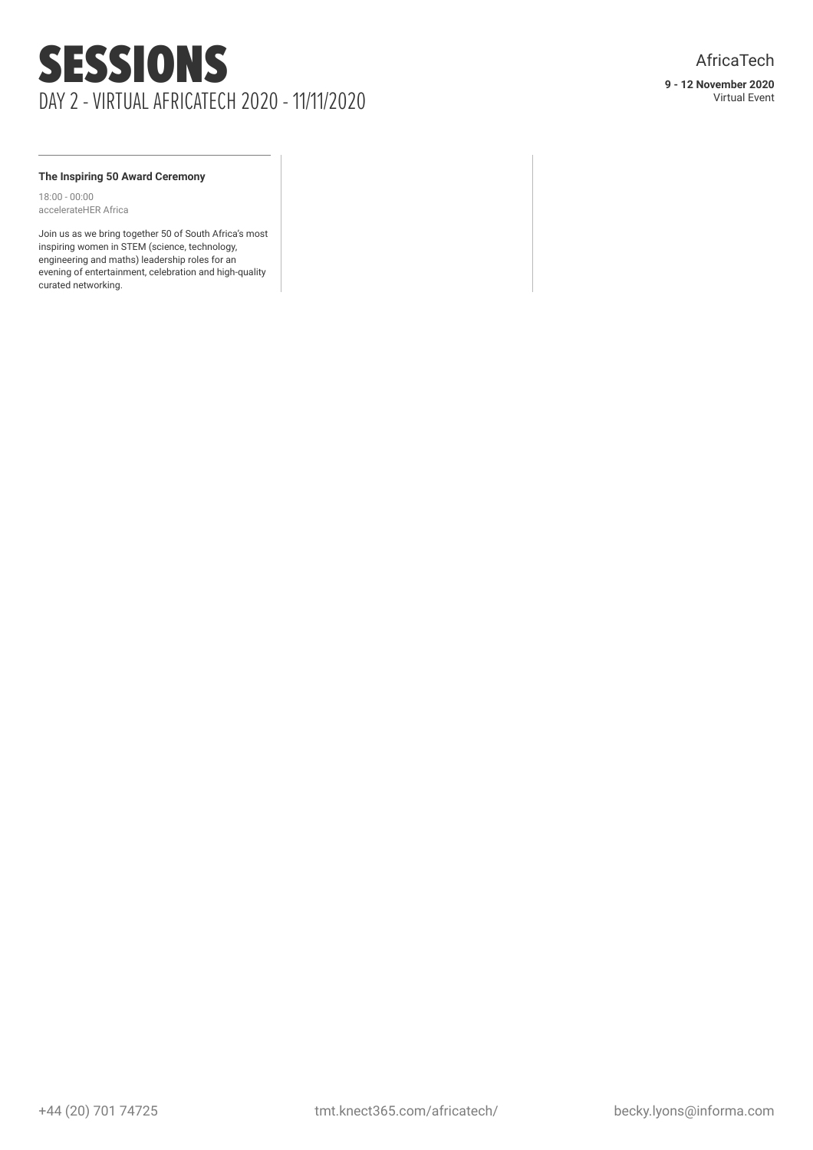#### **The Inspiring 50 Award Ceremony**

18:00 - 00:00 accelerateHER Africa

Join us as we bring together 50 of South Africa's most inspiring women in STEM (science, technology, engineering and maths) leadership roles for an evening of entertainment, celebration and high-quality curated networking.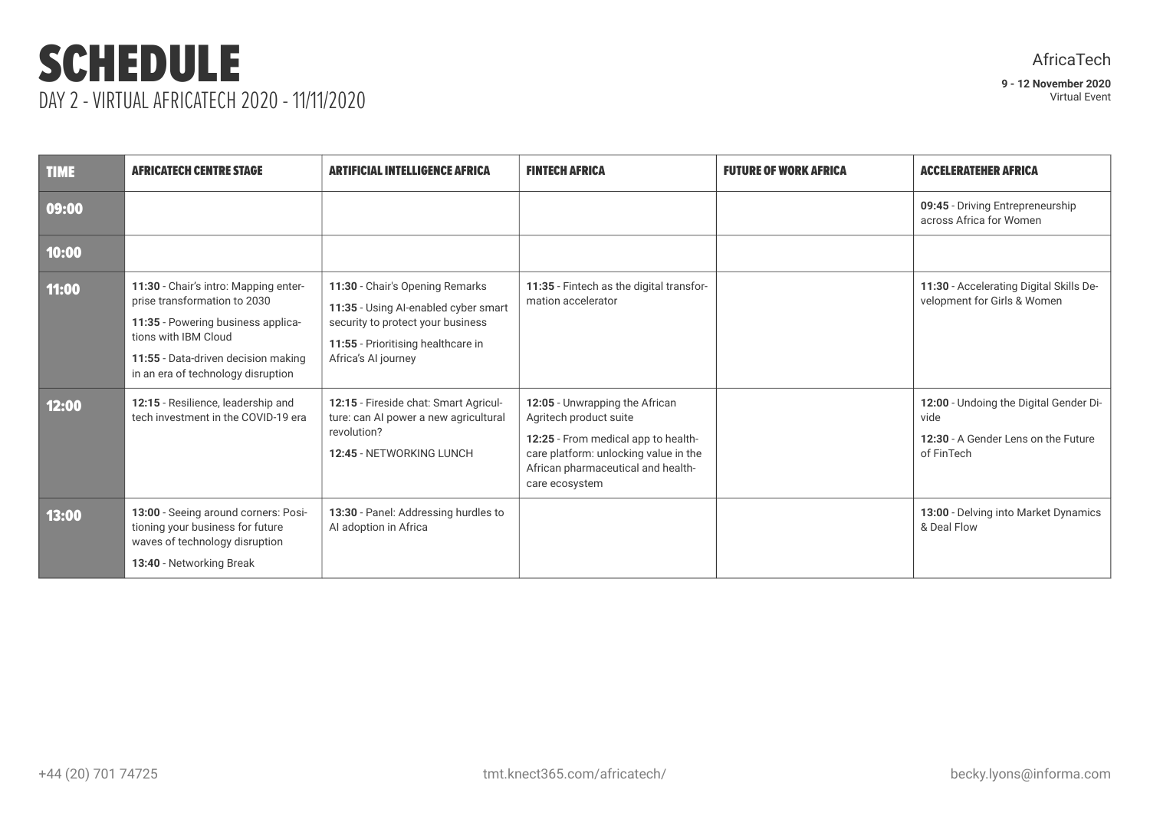### SCHEDULE DAY 2 - VIRTUAL AFRICATECH 2020 - 11/11/2020

**9 - 12 November 2020** Virtual Event

| <b>TIME</b> | <b>AFRICATECH CENTRE STAGE</b>                                                                                                                                                                                   | <b>ARTIFICIAL INTELLIGENCE AFRICA</b>                                                                                                                                     | <b>FINTECH AFRICA</b>                                                                                                                                                                            | <b>FUTURE OF WORK AFRICA</b> | <b>ACCELERATEHER AFRICA</b>                                                                         |
|-------------|------------------------------------------------------------------------------------------------------------------------------------------------------------------------------------------------------------------|---------------------------------------------------------------------------------------------------------------------------------------------------------------------------|--------------------------------------------------------------------------------------------------------------------------------------------------------------------------------------------------|------------------------------|-----------------------------------------------------------------------------------------------------|
| 09:00       |                                                                                                                                                                                                                  |                                                                                                                                                                           |                                                                                                                                                                                                  |                              | 09:45 - Driving Entrepreneurship<br>across Africa for Women                                         |
| 10:00       |                                                                                                                                                                                                                  |                                                                                                                                                                           |                                                                                                                                                                                                  |                              |                                                                                                     |
| 11:00       | 11:30 - Chair's intro: Mapping enter-<br>prise transformation to 2030<br>11:35 - Powering business applica-<br>tions with IBM Cloud<br>11:55 - Data-driven decision making<br>in an era of technology disruption | 11:30 - Chair's Opening Remarks<br>11:35 - Using Al-enabled cyber smart<br>security to protect your business<br>11:55 - Prioritising healthcare in<br>Africa's AI journey | 11:35 - Fintech as the digital transfor-<br>mation accelerator                                                                                                                                   |                              | 11:30 - Accelerating Digital Skills De-<br>velopment for Girls & Women                              |
| 12:00       | 12:15 - Resilience, leadership and<br>tech investment in the COVID-19 era                                                                                                                                        | 12:15 - Fireside chat: Smart Agricul-<br>ture: can AI power a new agricultural<br>revolution?<br>12:45 - NETWORKING LUNCH                                                 | 12:05 - Unwrapping the African<br>Agritech product suite<br>12:25 - From medical app to health-<br>care platform: unlocking value in the<br>African pharmaceutical and health-<br>care ecosystem |                              | 12:00 - Undoing the Digital Gender Di-<br>vide<br>12:30 - A Gender Lens on the Future<br>of FinTech |
| 13:00       | 13:00 - Seeing around corners: Posi-<br>tioning your business for future<br>waves of technology disruption<br>13:40 - Networking Break                                                                           | 13:30 - Panel: Addressing hurdles to<br>Al adoption in Africa                                                                                                             |                                                                                                                                                                                                  |                              | 13:00 - Delving into Market Dynamics<br>& Deal Flow                                                 |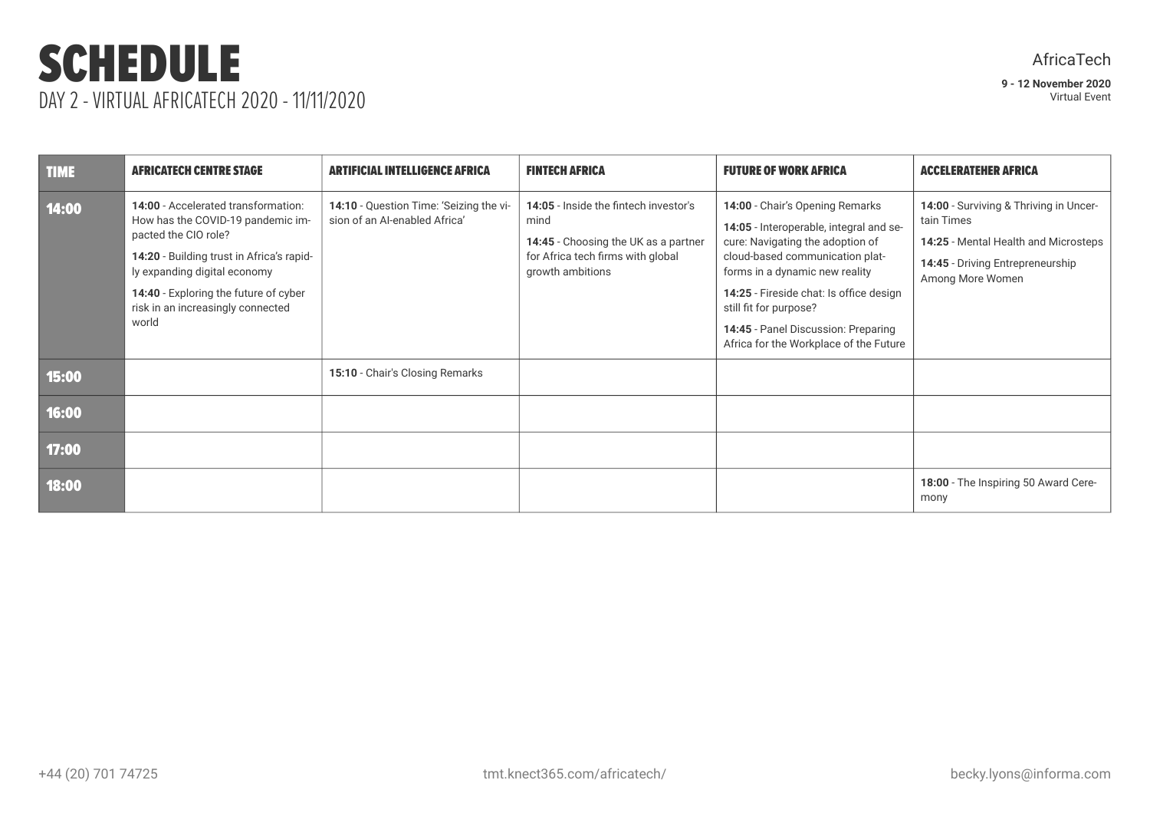### SCHEDULE DAY 2 - VIRTUAL AFRICATECH 2020 - 11/11/2020

| <b>TIME</b> | <b>AFRICATECH CENTRE STAGE</b>                                                                                                                                                                                                                                       | <b>ARTIFICIAL INTELLIGENCE AFRICA</b>                                    | <b>FINTECH AFRICA</b>                                                                                                                          | <b>FUTURE OF WORK AFRICA</b>                                                                                                                                                                                                                                                                                                              | <b>ACCELERATEHER AFRICA</b>                                                                                                                          |
|-------------|----------------------------------------------------------------------------------------------------------------------------------------------------------------------------------------------------------------------------------------------------------------------|--------------------------------------------------------------------------|------------------------------------------------------------------------------------------------------------------------------------------------|-------------------------------------------------------------------------------------------------------------------------------------------------------------------------------------------------------------------------------------------------------------------------------------------------------------------------------------------|------------------------------------------------------------------------------------------------------------------------------------------------------|
| 14:00       | 14:00 - Accelerated transformation:<br>How has the COVID-19 pandemic im-<br>pacted the CIO role?<br>14:20 - Building trust in Africa's rapid-<br>ly expanding digital economy<br>14:40 - Exploring the future of cyber<br>risk in an increasingly connected<br>world | 14:10 - Question Time: 'Seizing the vi-<br>sion of an Al-enabled Africa' | 14:05 - Inside the fintech investor's<br>mind<br>14:45 - Choosing the UK as a partner<br>for Africa tech firms with global<br>growth ambitions | 14:00 - Chair's Opening Remarks<br>14:05 - Interoperable, integral and se-<br>cure: Navigating the adoption of<br>cloud-based communication plat-<br>forms in a dynamic new reality<br>14:25 - Fireside chat: Is office design<br>still fit for purpose?<br>14:45 - Panel Discussion: Preparing<br>Africa for the Workplace of the Future | 14:00 - Surviving & Thriving in Uncer-<br>tain Times<br>14:25 - Mental Health and Microsteps<br>14:45 - Driving Entrepreneurship<br>Among More Women |
| 15:00       |                                                                                                                                                                                                                                                                      | 15:10 - Chair's Closing Remarks                                          |                                                                                                                                                |                                                                                                                                                                                                                                                                                                                                           |                                                                                                                                                      |
| 16:00       |                                                                                                                                                                                                                                                                      |                                                                          |                                                                                                                                                |                                                                                                                                                                                                                                                                                                                                           |                                                                                                                                                      |
| 17:00       |                                                                                                                                                                                                                                                                      |                                                                          |                                                                                                                                                |                                                                                                                                                                                                                                                                                                                                           |                                                                                                                                                      |
| 18:00       |                                                                                                                                                                                                                                                                      |                                                                          |                                                                                                                                                |                                                                                                                                                                                                                                                                                                                                           | 18:00 - The Inspiring 50 Award Cere-<br>mony                                                                                                         |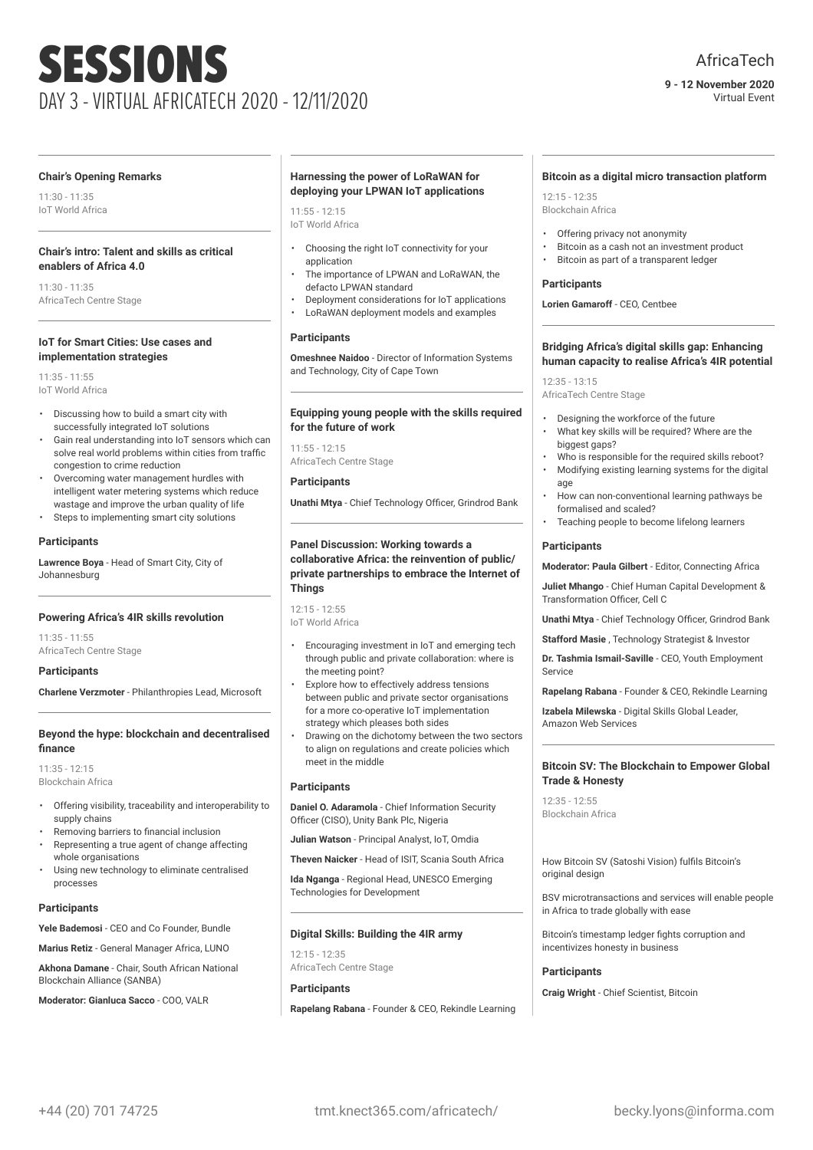**9 - 12 November 2020** Virtual Event

#### **Chair's Opening Remarks**

11:30 - 11:35 IoT World Africa

#### **Chair's intro: Talent and skills as critical enablers of Africa 4.0**

11:30 - 11:35 AfricaTech Centre Stage

#### **IoT for Smart Cities: Use cases and implementation strategies**

11:35 - 11:55 IoT World Africa

- Discussing how to build a smart city with successfully integrated IoT solutions
- Gain real understanding into IoT sensors which can solve real world problems within cities from traffic congestion to crime reduction
- Overcoming water management hurdles with intelligent water metering systems which reduce wastage and improve the urban quality of life
- Steps to implementing smart city solutions

#### **Participants**

**Lawrence Boya** - Head of Smart City, City of Johannesburg

#### **Powering Africa's 4IR skills revolution**

11:35 - 11:55 AfricaTech Centre Stage

#### **Participants**

**Charlene Verzmoter** - Philanthropies Lead, Microsoft

#### **Beyond the hype: blockchain and decentralised finance**

11:35 - 12:15 Blockchain Africa

- Offering visibility, traceability and interoperability to supply chains
- Removing barriers to financial inclusion
- Representing a true agent of change affecting whole organisations
- Using new technology to eliminate centralised processes

#### **Participants**

**Yele Bademosi** - CEO and Co Founder, Bundle

**Marius Retiz** - General Manager Africa, LUNO

**Akhona Damane** - Chair, South African National Blockchain Alliance (SANBA)

**Moderator: Gianluca Sacco** - COO, VALR

#### **Harnessing the power of LoRaWAN for deploying your LPWAN IoT applications**

 $11:55 - 12:15$ IoT World Africa

- Choosing the right IoT connectivity for your application
- The importance of LPWAN and LoRaWAN, the defacto LPWAN standard
- Deployment considerations for IoT applications
- LoRaWAN deployment models and examples

#### **Participants**

**Omeshnee Naidoo** - Director of Information Systems and Technology, City of Cape Town

#### **Equipping young people with the skills required for the future of work**

 $11:55 - 12:15$ AfricaTech Centre Stage

#### **Participants**

**Unathi Mtya** - Chief Technology Officer, Grindrod Bank

#### **Panel Discussion: Working towards a collaborative Africa: the reinvention of public/ private partnerships to embrace the Internet of Things**

 $12:15 - 12:55$ IoT World Africa

- Encouraging investment in IoT and emerging tech through public and private collaboration: where is the meeting point?
- Explore how to effectively address tensions between public and private sector organisations for a more co-operative IoT implementation strategy which pleases both sides
- Drawing on the dichotomy between the two sectors to align on regulations and create policies which meet in the middle

#### **Participants**

**Daniel O. Adaramola** - Chief Information Security Officer (CISO), Unity Bank Plc, Nigeria

**Julian Watson** - Principal Analyst, IoT, Omdia

**Theven Naicker** - Head of ISIT, Scania South Africa

**Ida Nganga** - Regional Head, UNESCO Emerging Technologies for Development

#### **Digital Skills: Building the 4IR army**

12:15 - 12:35 AfricaTech Centre Stage

#### **Participants**

**Rapelang Rabana** - Founder & CEO, Rekindle Learning

#### **Bitcoin as a digital micro transaction platform**

12:15 - 12:35 Blockchain Africa

- Offering privacy not anonymity
- Bitcoin as a cash not an investment product
- Bitcoin as part of a transparent ledger

#### **Participants**

**Lorien Gamaroff** - CEO, Centbee

#### **Bridging Africa's digital skills gap: Enhancing human capacity to realise Africa's 4IR potential**

 $12.35 - 13.15$ AfricaTech Centre Stage

- 
- Designing the workforce of the future
- What key skills will be required? Where are the biggest gaps?
- Who is responsible for the required skills reboot? • Modifying existing learning systems for the digital age
- How can non-conventional learning pathways be formalised and scaled?
- Teaching people to become lifelong learners

#### **Participants**

**Moderator: Paula Gilbert** - Editor, Connecting Africa

**Juliet Mhango** - Chief Human Capital Development & Transformation Officer, Cell C

**Unathi Mtya** - Chief Technology Officer, Grindrod Bank

**Stafford Masie** , Technology Strategist & Investor

**Dr. Tashmia Ismail-Saville** - CEO, Youth Employment Service

**Rapelang Rabana** - Founder & CEO, Rekindle Learning

**Izabela Milewska** - Digital Skills Global Leader, Amazon Web Services

#### **Bitcoin SV: The Blockchain to Empower Global Trade & Honesty**

12:35 - 12:55 Blockchain Africa

How Bitcoin SV (Satoshi Vision) fulfils Bitcoin's original design

BSV microtransactions and services will enable people in Africa to trade globally with ease

Bitcoin's timestamp ledger fights corruption and incentivizes honesty in business

#### **Participants**

**Craig Wright** - Chief Scientist, Bitcoin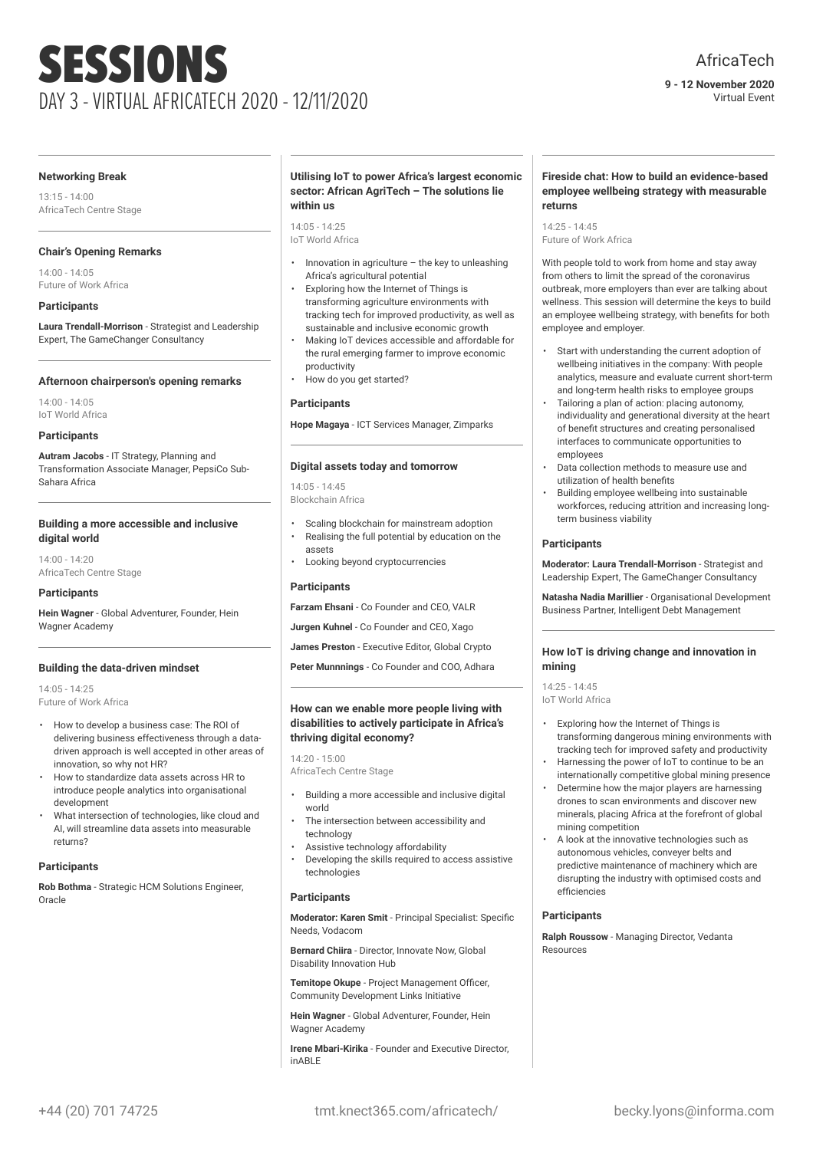**9 - 12 November 2020** Virtual Event

#### **Networking Break**

13:15 - 14:00 AfricaTech Centre Stage

#### **Chair's Opening Remarks**

14:00 - 14:05 Future of Work Africa

#### **Participants**

**Laura Trendall-Morrison** - Strategist and Leadership Expert, The GameChanger Consultancy

#### **Afternoon chairperson's opening remarks**

14:00 - 14:05 IoT World Africa

#### **Participants**

**Autram Jacobs** - IT Strategy, Planning and Transformation Associate Manager, PepsiCo Sub-Sahara Africa

#### **Building a more accessible and inclusive digital world**

14:00 - 14:20 AfricaTech Centre Stage

#### **Participants**

**Hein Wagner** - Global Adventurer, Founder, Hein Wagner Academy

#### **Building the data-driven mindset**

14:05 - 14:25 Future of Work Africa

- How to develop a business case: The ROI of delivering business effectiveness through a datadriven approach is well accepted in other areas of innovation, so why not HR?
- How to standardize data assets across HR to introduce people analytics into organisational development
- What intersection of technologies, like cloud and AI, will streamline data assets into measurable returns?

#### **Participants**

**Rob Bothma** - Strategic HCM Solutions Engineer, Oracle

#### **Utilising IoT to power Africa's largest economic sector: African AgriTech – The solutions lie within us**

14:05 - 14:25 IoT World Africa

- Innovation in agriculture the key to unleashing Africa's agricultural potential
- Exploring how the Internet of Things is transforming agriculture environments with tracking tech for improved productivity, as well as sustainable and inclusive economic growth
- Making IoT devices accessible and affordable for the rural emerging farmer to improve economic productivity
- How do you get started?

#### **Participants**

**Hope Magaya** - ICT Services Manager, Zimparks

#### **Digital assets today and tomorrow**

14:05 - 14:45 Blockchain Africa

- Scaling blockchain for mainstream adoption
- Realising the full potential by education on the assets
- Looking beyond cryptocurrencies

#### **Participants**

**Farzam Ehsani** - Co Founder and CEO, VALR

- **Jurgen Kuhnel** Co Founder and CEO, Xago
- **James Preston** Executive Editor, Global Crypto

**Peter Munnnings** - Co Founder and COO, Adhara

#### **How can we enable more people living with disabilities to actively participate in Africa's thriving digital economy?**

 $14:20 - 15:00$ AfricaTech Centre Stage

- Building a more accessible and inclusive digital world
- The intersection between accessibility and technology
- Assistive technology affordability
- Developing the skills required to access assistive technologies

#### **Participants**

**Moderator: Karen Smit** - Principal Specialist: Specific Needs, Vodacom

**Bernard Chiira** - Director, Innovate Now, Global Disability Innovation Hub

**Temitope Okupe** - Project Management Officer, Community Development Links Initiative

**Hein Wagner** - Global Adventurer, Founder, Hein Wagner Academy

**Irene Mbari-Kirika** - Founder and Executive Director, inABLE

#### **Fireside chat: How to build an evidence-based employee wellbeing strategy with measurable returns**

14:25 - 14:45 Future of Work Africa

With people told to work from home and stay away from others to limit the spread of the coronavirus outbreak, more employers than ever are talking about wellness. This session will determine the keys to build an employee wellbeing strategy, with benefits for both employee and employer.

- Start with understanding the current adoption of wellbeing initiatives in the company: With people analytics, measure and evaluate current short-term and long-term health risks to employee groups
- Tailoring a plan of action: placing autonomy, individuality and generational diversity at the heart of benefit structures and creating personalised interfaces to communicate opportunities to employees
- Data collection methods to measure use and utilization of health benefits
- Building employee wellbeing into sustainable workforces, reducing attrition and increasing longterm business viability

#### **Participants**

**Moderator: Laura Trendall-Morrison** - Strategist and Leadership Expert, The GameChanger Consultancy

**Natasha Nadia Marillier** - Organisational Development Business Partner, Intelligent Debt Management

#### **How IoT is driving change and innovation in mining**

14:25 - 14:45 IoT World Africa

- Exploring how the Internet of Things is transforming dangerous mining environments with tracking tech for improved safety and productivity
- Harnessing the power of IoT to continue to be an internationally competitive global mining presence
- Determine how the major players are harnessing drones to scan environments and discover new minerals, placing Africa at the forefront of global mining competition
- A look at the innovative technologies such as autonomous vehicles, conveyer belts and predictive maintenance of machinery which are disrupting the industry with optimised costs and efficiencies

#### **Participants**

**Ralph Roussow** - Managing Director, Vedanta Resources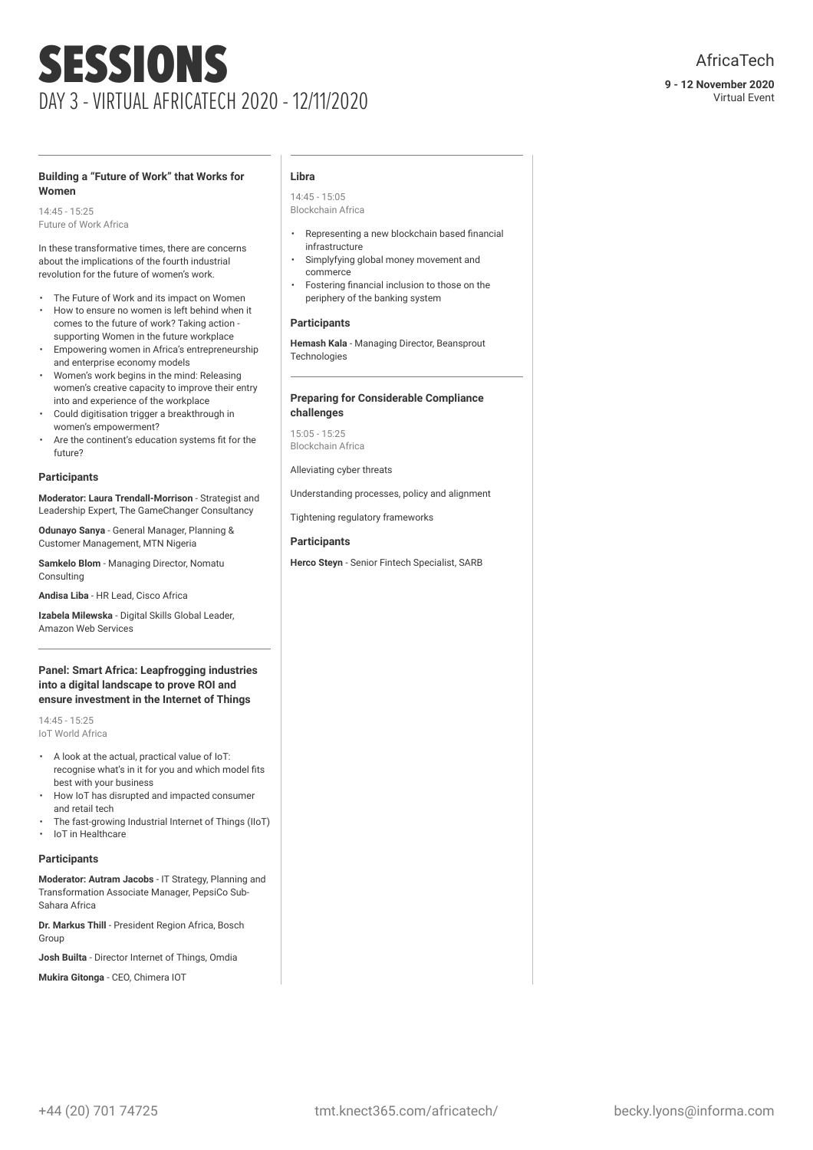#### **Building a "Future of Work" that Works for Women**

14:45 - 15:25 Future of Work Africa

In these transformative times, there are concerns about the implications of the fourth industrial revolution for the future of women's work.

- The Future of Work and its impact on Women
- How to ensure no women is left behind when it comes to the future of work? Taking action supporting Women in the future workplace
- Empowering women in Africa's entrepreneurship and enterprise economy models
- Women's work begins in the mind: Releasing women's creative capacity to improve their entry into and experience of the workplace
- Could digitisation trigger a breakthrough in women's empowerment?
- Are the continent's education systems fit for the future?

#### **Participants**

**Moderator: Laura Trendall-Morrison** - Strategist and Leadership Expert, The GameChanger Consultancy

**Odunayo Sanya** - General Manager, Planning & Customer Management, MTN Nigeria

**Samkelo Blom** - Managing Director, Nomatu Consulting

**Andisa Liba** - HR Lead, Cisco Africa

**Izabela Milewska** - Digital Skills Global Leader, Amazon Web Services

#### **Panel: Smart Africa: Leapfrogging industries into a digital landscape to prove ROI and ensure investment in the Internet of Things**

14:45 - 15:25 IoT World Africa

- A look at the actual, practical value of IoT: recognise what's in it for you and which model fits best with your business
- How IoT has disrupted and impacted consumer and retail tech
- The fast-growing Industrial Internet of Things (IIoT) • IoT in Healthcare

### **Participants**

**Moderator: Autram Jacobs** - IT Strategy, Planning and Transformation Associate Manager, PepsiCo Sub-Sahara Africa

**Dr. Markus Thill** - President Region Africa, Bosch Group

**Josh Builta** - Director Internet of Things, Omdia

**Mukira Gitonga** - CEO, Chimera IOT

#### **Libra**

14:45 - 15:05 Blockchain Africa

- Representing a new blockchain based financial infrastructure
- Simplyfying global money movement and commerce
- Fostering financial inclusion to those on the periphery of the banking system

#### **Participants**

**Hemash Kala** - Managing Director, Beansprout **Technologies** 

#### **Preparing for Considerable Compliance challenges**

15:05 - 15:25 Blockchain Africa

#### Alleviating cyber threats

Understanding processes, policy and alignment

Tightening regulatory frameworks

#### **Participants**

**Herco Steyn** - Senior Fintech Specialist, SARB